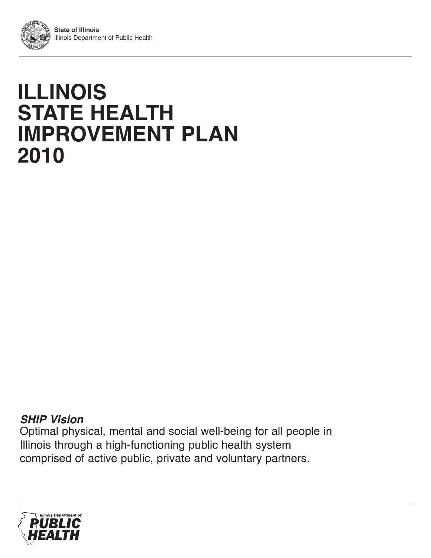# **ILLINOIS STATE HEALTH IMPROVEMENT PLAN 2010**

# **SHIP Vision**

Optimal physical, mental and social well‐being for all people in Illinois through a high‐functioning public health system comprised of active public, private and voluntary partners.

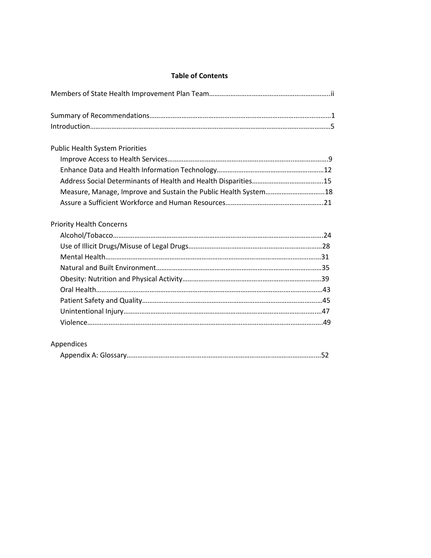### **Table of Contents**

| <b>Public Health System Priorities</b>                          |
|-----------------------------------------------------------------|
|                                                                 |
|                                                                 |
| Measure, Manage, Improve and Sustain the Public Health System18 |
|                                                                 |
| <b>Priority Health Concerns</b>                                 |
|                                                                 |
|                                                                 |
|                                                                 |
|                                                                 |
|                                                                 |
|                                                                 |
|                                                                 |
|                                                                 |
|                                                                 |
| Appendices                                                      |
|                                                                 |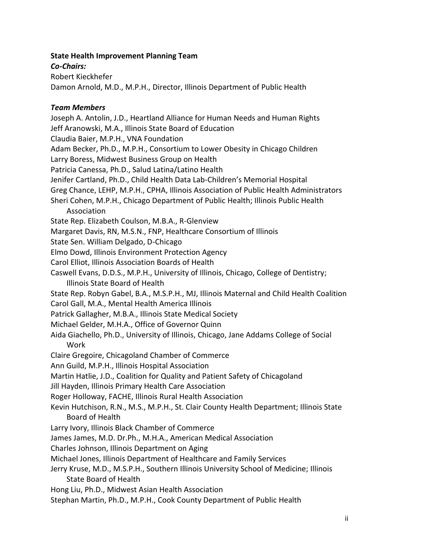### **State Health Improvement Planning Team**

*Co-Chairs:*

Robert Kieckhefer

Damon Arnold, M.D., M.P.H., Director, Illinois Department of Public Health

### *Team Members*

Joseph A. Antolin, J.D., Heartland Alliance for Human Needs and Human Rights Jeff Aranowski, M.A., Illinois State Board of Education Claudia Baier, M.P.H., VNA Foundation Adam Becker, Ph.D., M.P.H., Consortium to Lower Obesity in Chicago Children Larry Boress, Midwest Business Group on Health Patricia Canessa, Ph.D., Salud Latina/Latino Health Jenifer Cartland, Ph.D., Child Health Data Lab-Children's Memorial Hospital Greg Chance, LEHP, M.P.H., CPHA, Illinois Association of Public Health Administrators Sheri Cohen, M.P.H., Chicago Department of Public Health; Illinois Public Health Association State Rep. Elizabeth Coulson, M.B.A., R-Glenview Margaret Davis, RN, M.S.N., FNP, Healthcare Consortium of Illinois State Sen. William Delgado, D-Chicago Elmo Dowd, Illinois Environment Protection Agency Carol Elliot, Illinois Association Boards of Health Caswell Evans, D.D.S., M.P.H., University of Illinois, Chicago, College of Dentistry; Illinois State Board of Health State Rep. Robyn Gabel, B.A., M.S.P.H., MJ, Illinois Maternal and Child Health Coalition Carol Gall, M.A., Mental Health America Illinois Patrick Gallagher, M.B.A., Illinois State Medical Society Michael Gelder, M.H.A., Office of Governor Quinn Aida Giachello, Ph.D., University of Illinois, Chicago, Jane Addams College of Social Work Claire Gregoire, Chicagoland Chamber of Commerce Ann Guild, M.P.H., Illinois Hospital Association Martin Hatlie, J.D., Coalition for Quality and Patient Safety of Chicagoland Jill Hayden, Illinois Primary Health Care Association Roger Holloway, FACHE, Illinois Rural Health Association Kevin Hutchison, R.N., M.S., M.P.H., St. Clair County Health Department; Illinois State Board of Health Larry Ivory, Illinois Black Chamber of Commerce James James, M.D. Dr.Ph., M.H.A., American Medical Association Charles Johnson, Illinois Department on Aging Michael Jones, Illinois Department of Healthcare and Family Services Jerry Kruse, M.D., M.S.P.H., Southern Illinois University School of Medicine; Illinois State Board of Health Hong Liu, Ph.D., Midwest Asian Health Association Stephan Martin, Ph.D., M.P.H., Cook County Department of Public Health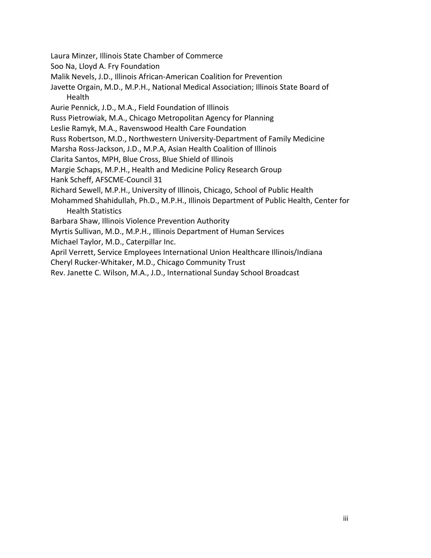- Laura Minzer, Illinois State Chamber of Commerce
- Soo Na, Lloyd A. Fry Foundation
- Malik Nevels, J.D., Illinois African-American Coalition for Prevention
- Javette Orgain, M.D., M.P.H., National Medical Association; Illinois State Board of Health
- Aurie Pennick, J.D., M.A., Field Foundation of Illinois
- Russ Pietrowiak, M.A., Chicago Metropolitan Agency for Planning
- Leslie Ramyk, M.A., Ravenswood Health Care Foundation
- Russ Robertson, M.D., Northwestern University-Department of Family Medicine
- Marsha Ross-Jackson, J.D., M.P.A, Asian Health Coalition of Illinois
- Clarita Santos, MPH, Blue Cross, Blue Shield of Illinois
- Margie Schaps, M.P.H., Health and Medicine Policy Research Group
- Hank Scheff, AFSCME-Council 31
- Richard Sewell, M.P.H., University of Illinois, Chicago, School of Public Health
- Mohammed Shahidullah, Ph.D., M.P.H., Illinois Department of Public Health, Center for Health Statistics
- Barbara Shaw, Illinois Violence Prevention Authority
- Myrtis Sullivan, M.D., M.P.H., Illinois Department of Human Services
- Michael Taylor, M.D., Caterpillar Inc.
- April Verrett, Service Employees International Union Healthcare Illinois/Indiana
- Cheryl Rucker-Whitaker, M.D., Chicago Community Trust
- Rev. Janette C. Wilson, M.A., J.D., International Sunday School Broadcast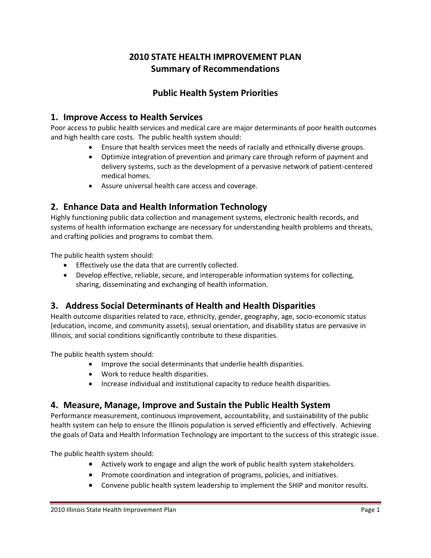# **2010 STATE HEALTH IMPROVEMENT PLAN Summary of Recommendations**

# **Public Health System Priorities**

### **1. Improve Access to Health Services**

Poor access to public health services and medical care are major determinants of poor health outcomes and high health care costs. The public health system should:

- Ensure that health services meet the needs of racially and ethnically diverse groups.
- Optimize integration of prevention and primary care through reform of payment and delivery systems, such as the development of a pervasive network of patient-centered medical homes.
- Assure universal health care access and coverage.

### **2. Enhance Data and Health Information Technology**

Highly functioning public data collection and management systems, electronic health records, and systems of health information exchange are necessary for understanding health problems and threats, and crafting policies and programs to combat them.

The public health system should:

- Effectively use the data that are currently collected.
- Develop effective, reliable, secure, and interoperable information systems for collecting, sharing, disseminating and exchanging of health information.

# **3. Address Social Determinants of Health and Health Disparities**

Health outcome disparities related to race, ethnicity, gender, geography, age, socio-economic status (education, income, and community assets), sexual orientation, and disability status are pervasive in Illinois, and social conditions significantly contribute to these disparities.

The public health system should:

- Improve the social determinants that underlie health disparities.
- Work to reduce health disparities.
- Increase individual and institutional capacity to reduce health disparities.

### **4. Measure, Manage, Improve and Sustain the Public Health System**

Performance measurement, continuous improvement, accountability, and sustainability of the public health system can help to ensure the Illinois population is served efficiently and effectively. Achieving the goals of Data and Health Information Technology are important to the success of this strategic issue.

The public health system should:

- Actively work to engage and align the work of public health system stakeholders.
- Promote coordination and integration of programs, policies, and initiatives.
- Convene public health system leadership to implement the SHIP and monitor results.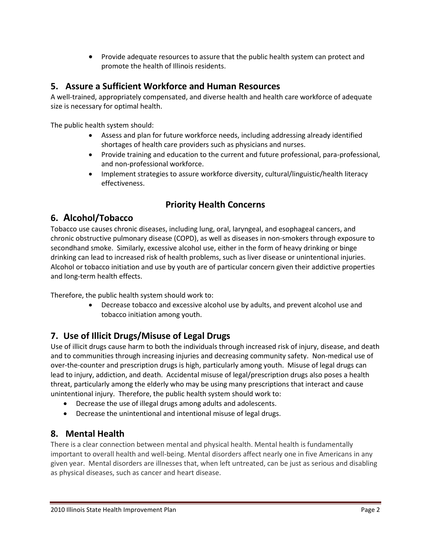Provide adequate resources to assure that the public health system can protect and promote the health of Illinois residents.

# **5. Assure a Sufficient Workforce and Human Resources**

A well-trained, appropriately compensated, and diverse health and health care workforce of adequate size is necessary for optimal health.

The public health system should:

- Assess and plan for future workforce needs, including addressing already identified shortages of health care providers such as physicians and nurses.
- Provide training and education to the current and future professional, para-professional, and non-professional workforce.
- Implement strategies to assure workforce diversity, cultural/linguistic/health literacy effectiveness.

# **Priority Health Concerns**

# **6. Alcohol/Tobacco**

Tobacco use causes chronic diseases, including lung, oral, laryngeal, and esophageal cancers, and chronic obstructive pulmonary disease (COPD), as well as diseases in non-smokers through exposure to secondhand smoke. Similarly, excessive alcohol use, either in the form of heavy drinking or binge drinking can lead to increased risk of health problems, such as liver disease or unintentional injuries. Alcohol or tobacco initiation and use by youth are of particular concern given their addictive properties and long-term health effects.

Therefore, the public health system should work to:

 Decrease tobacco and excessive alcohol use by adults, and prevent alcohol use and tobacco initiation among youth.

### **7. Use of Illicit Drugs/Misuse of Legal Drugs**

Use of illicit drugs cause harm to both the individuals through increased risk of injury, disease, and death and to communities through increasing injuries and decreasing community safety. Non-medical use of over-the-counter and prescription drugs is high, particularly among youth. Misuse of legal drugs can lead to injury, addiction, and death. Accidental misuse of legal/prescription drugs also poses a health threat, particularly among the elderly who may be using many prescriptions that interact and cause unintentional injury. Therefore, the public health system should work to:

- Decrease the use of illegal drugs among adults and adolescents.
- Decrease the unintentional and intentional misuse of legal drugs.

# **8. Mental Health**

There is a clear connection between mental and physical health. Mental health is fundamentally important to overall health and well-being. Mental disorders affect nearly one in five Americans in any given year. Mental disorders are illnesses that, when left untreated, can be just as serious and disabling as physical diseases, such as cancer and heart disease.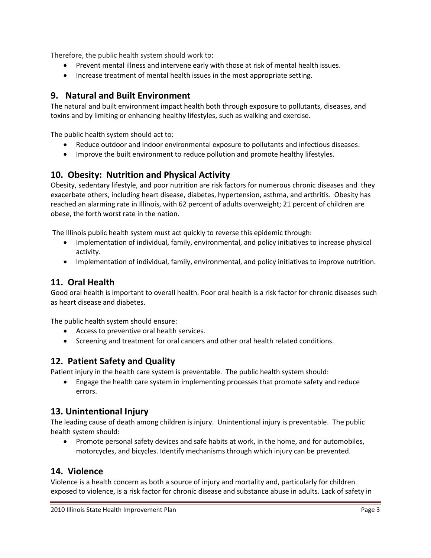Therefore, the public health system should work to:

- Prevent mental illness and intervene early with those at risk of mental health issues.
- Increase treatment of mental health issues in the most appropriate setting.

# **9. Natural and Built Environment**

The natural and built environment impact health both through exposure to pollutants, diseases, and toxins and by limiting or enhancing healthy lifestyles, such as walking and exercise.

The public health system should act to:

- Reduce outdoor and indoor environmental exposure to pollutants and infectious diseases.
- Improve the built environment to reduce pollution and promote healthy lifestyles.

### **10. Obesity: Nutrition and Physical Activity**

Obesity, sedentary lifestyle, and poor nutrition are risk factors for numerous chronic diseases and they exacerbate others, including heart disease, diabetes, hypertension, asthma, and arthritis. Obesity has reached an alarming rate in Illinois, with 62 percent of adults overweight; 21 percent of children are obese, the forth worst rate in the nation.

The Illinois public health system must act quickly to reverse this epidemic through:

- Implementation of individual, family, environmental, and policy initiatives to increase physical activity.
- Implementation of individual, family, environmental, and policy initiatives to improve nutrition.

# **11. Oral Health**

Good oral health is important to overall health. Poor oral health is a risk factor for chronic diseases such as heart disease and diabetes.

The public health system should ensure:

- Access to preventive oral health services.
- Screening and treatment for oral cancers and other oral health related conditions.

### **12. Patient Safety and Quality**

Patient injury in the health care system is preventable. The public health system should:

 Engage the health care system in implementing processes that promote safety and reduce errors.

### **13. Unintentional Injury**

The leading cause of death among children is injury. Unintentional injury is preventable. The public health system should:

 Promote personal safety devices and safe habits at work, in the home, and for automobiles, motorcycles, and bicycles. Identify mechanisms through which injury can be prevented.

### **14. Violence**

Violence is a health concern as both a source of injury and mortality and, particularly for children exposed to violence, is a risk factor for chronic disease and substance abuse in adults. Lack of safety in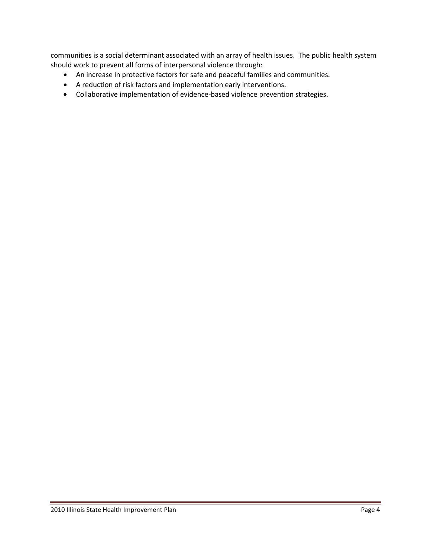communities is a social determinant associated with an array of health issues. The public health system should work to prevent all forms of interpersonal violence through:

- An increase in protective factors for safe and peaceful families and communities.
- A reduction of risk factors and implementation early interventions.
- Collaborative implementation of evidence-based violence prevention strategies.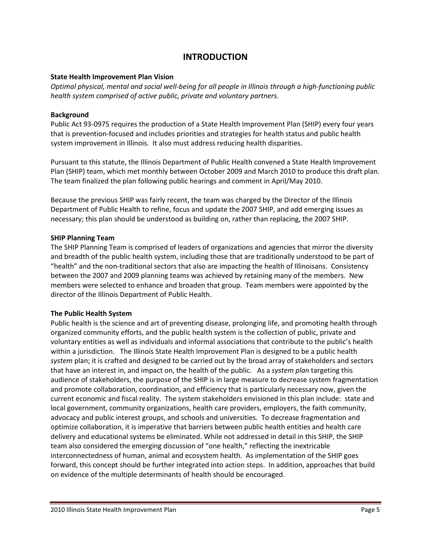### **INTRODUCTION**

### **State Health Improvement Plan Vision**

*Optimal physical, mental and social well-being for all people in Illinois through a high-functioning public health system comprised of active public, private and voluntary partners.*

### **Background**

Public Act 93-0975 requires the production of a State Health Improvement Plan (SHIP) every four years that is prevention-focused and includes priorities and strategies for health status and public health system improvement in Illinois. It also must address reducing health disparities.

Pursuant to this statute, the Illinois Department of Public Health convened a State Health Improvement Plan (SHIP) team, which met monthly between October 2009 and March 2010 to produce this draft plan. The team finalized the plan following public hearings and comment in April/May 2010.

Because the previous SHIP was fairly recent, the team was charged by the Director of the Illinois Department of Public Health to refine, focus and update the 2007 SHIP, and add emerging issues as necessary; this plan should be understood as building on, rather than replacing, the 2007 SHIP.

### **SHIP Planning Team**

The SHIP Planning Team is comprised of leaders of organizations and agencies that mirror the diversity and breadth of the public health system, including those that are traditionally understood to be part of "health" and the non-traditional sectors that also are impacting the health of Illinoisans. Consistency between the 2007 and 2009 planning teams was achieved by retaining many of the members. New members were selected to enhance and broaden that group. Team members were appointed by the director of the Illinois Department of Public Health.

### **The Public Health System**

Public health is the science and art of preventing disease, prolonging life, and promoting health through organized community efforts, and the public health system is the collection of public, private and voluntary entities as well as individuals and informal associations that contribute to the public's health within a jurisdiction.The Illinois State Health Improvement Plan is designed to be a public health *system* plan; it is crafted and designed to be carried out by the broad array of stakeholders and sectors that have an interest in, and impact on, the health of the public. As a *system plan* targeting this audience of stakeholders, the purpose of the SHIP is in large measure to decrease system fragmentation and promote collaboration, coordination, and efficiency that is particularly necessary now, given the current economic and fiscal reality. The system stakeholders envisioned in this plan include: state and local government, community organizations, health care providers, employers, the faith community, advocacy and public interest groups, and schools and universities. To decrease fragmentation and optimize collaboration, it is imperative that barriers between public health entities and health care delivery and educational systems be eliminated. While not addressed in detail in this SHIP, the SHIP team also considered the emerging discussion of "one health," reflecting the inextricable interconnectedness of human, animal and ecosystem health. As implementation of the SHIP goes forward, this concept should be further integrated into action steps. In addition, approaches that build on evidence of the multiple determinants of health should be encouraged.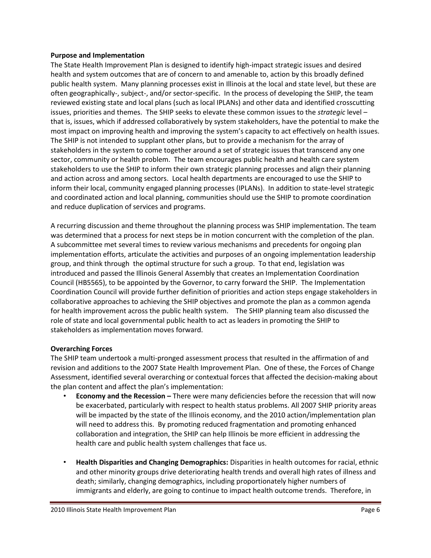### **Purpose and Implementation**

The State Health Improvement Plan is designed to identify high-impact strategic issues and desired health and system outcomes that are of concern to and amenable to, action by this broadly defined public health system. Many planning processes exist in Illinois at the local and state level, but these are often geographically-, subject-, and/or sector-specific. In the process of developing the SHIP, the team reviewed existing state and local plans (such as local IPLANs) and other data and identified crosscutting issues, priorities and themes. The SHIP seeks to elevate these common issues to the *strategic* level – that is, issues, which if addressed collaboratively by system stakeholders, have the potential to make the most impact on improving health and improving the system's capacity to act effectively on health issues. The SHIP is not intended to supplant other plans, but to provide a mechanism for the array of stakeholders in the system to come together around a set of strategic issues that transcend any one sector, community or health problem. The team encourages public health and health care system stakeholders to use the SHIP to inform their own strategic planning processes and align their planning and action across and among sectors. Local health departments are encouraged to use the SHIP to inform their local, community engaged planning processes (IPLANs). In addition to state-level strategic and coordinated action and local planning, communities should use the SHIP to promote coordination and reduce duplication of services and programs.

A recurring discussion and theme throughout the planning process was SHIP implementation. The team was determined that a process for next steps be in motion concurrent with the completion of the plan. A subcommittee met several times to review various mechanisms and precedents for ongoing plan implementation efforts, articulate the activities and purposes of an ongoing implementation leadership group, and think through the optimal structure for such a group. To that end, legislation was introduced and passed the Illinois General Assembly that creates an Implementation Coordination Council (HB5565), to be appointed by the Governor, to carry forward the SHIP. The Implementation Coordination Council will provide further definition of priorities and action steps engage stakeholders in collaborative approaches to achieving the SHIP objectives and promote the plan as a common agenda for health improvement across the public health system. The SHIP planning team also discussed the role of state and local governmental public health to act as leaders in promoting the SHIP to stakeholders as implementation moves forward.

### **Overarching Forces**

The SHIP team undertook a multi-pronged assessment process that resulted in the affirmation of and revision and additions to the 2007 State Health Improvement Plan. One of these, the Forces of Change Assessment, identified several overarching or contextual forces that affected the decision-making about the plan content and affect the plan's implementation:

- **Economy and the Recession –** There were many deficiencies before the recession that will now be exacerbated, particularly with respect to health status problems. All 2007 SHIP priority areas will be impacted by the state of the Illinois economy, and the 2010 action/implementation plan will need to address this. By promoting reduced fragmentation and promoting enhanced collaboration and integration, the SHIP can help Illinois be more efficient in addressing the health care and public health system challenges that face us.
- **Health Disparities and Changing Demographics:** Disparities in health outcomes for racial, ethnic and other minority groups drive deteriorating health trends and overall high rates of illness and death; similarly, changing demographics, including proportionately higher numbers of immigrants and elderly, are going to continue to impact health outcome trends. Therefore, in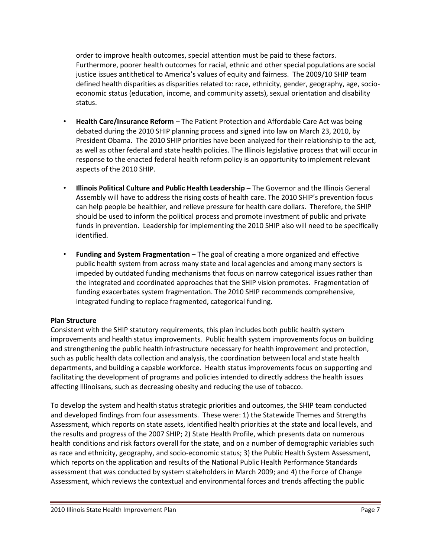order to improve health outcomes, special attention must be paid to these factors. Furthermore, poorer health outcomes for racial, ethnic and other special populations are social justice issues antithetical to America's values of equity and fairness. The 2009/10 SHIP team defined health disparities as disparities related to: race, ethnicity, gender, geography, age, socioeconomic status (education, income, and community assets), sexual orientation and disability status.

- **Health Care/Insurance Reform** The Patient Protection and Affordable Care Act was being debated during the 2010 SHIP planning process and signed into law on March 23, 2010, by President Obama. The 2010 SHIP priorities have been analyzed for their relationship to the act, as well as other federal and state health policies. The Illinois legislative process that will occur in response to the enacted federal health reform policy is an opportunity to implement relevant aspects of the 2010 SHIP.
- **Illinois Political Culture and Public Health Leadership –** The Governor and the Illinois General Assembly will have to address the rising costs of health care. The 2010 SHIP's prevention focus can help people be healthier, and relieve pressure for health care dollars. Therefore, the SHIP should be used to inform the political process and promote investment of public and private funds in prevention. Leadership for implementing the 2010 SHIP also will need to be specifically identified.
- **Funding and System Fragmentation** The goal of creating a more organized and effective public health system from across many state and local agencies and among many sectors is impeded by outdated funding mechanisms that focus on narrow categorical issues rather than the integrated and coordinated approaches that the SHIP vision promotes. Fragmentation of funding exacerbates system fragmentation. The 2010 SHIP recommends comprehensive, integrated funding to replace fragmented, categorical funding.

### **Plan Structure**

Consistent with the SHIP statutory requirements, this plan includes both public health system improvements and health status improvements. Public health system improvements focus on building and strengthening the public health infrastructure necessary for health improvement and protection, such as public health data collection and analysis, the coordination between local and state health departments, and building a capable workforce. Health status improvements focus on supporting and facilitating the development of programs and policies intended to directly address the health issues affecting Illinoisans, such as decreasing obesity and reducing the use of tobacco.

To develop the system and health status strategic priorities and outcomes, the SHIP team conducted and developed findings from four assessments. These were: 1) the Statewide Themes and Strengths Assessment, which reports on state assets, identified health priorities at the state and local levels, and the results and progress of the 2007 SHIP; 2) State Health Profile, which presents data on numerous health conditions and risk factors overall for the state, and on a number of demographic variables such as race and ethnicity, geography, and socio-economic status; 3) the Public Health System Assessment, which reports on the application and results of the National Public Health Performance Standards assessment that was conducted by system stakeholders in March 2009; and 4) the Force of Change Assessment, which reviews the contextual and environmental forces and trends affecting the public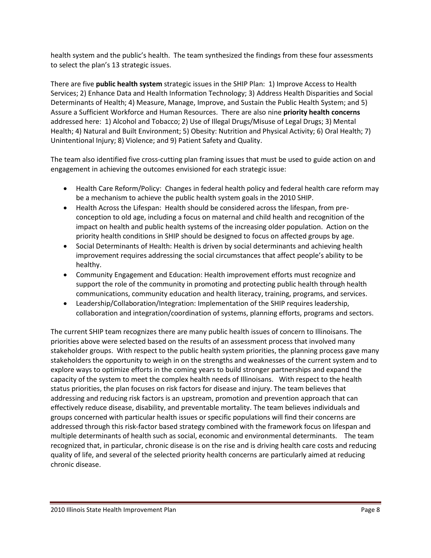health system and the public's health. The team synthesized the findings from these four assessments to select the plan's 13 strategic issues.

There are five **public health system** strategic issues in the SHIP Plan: 1) Improve Access to Health Services; 2) Enhance Data and Health Information Technology; 3) Address Health Disparities and Social Determinants of Health; 4) Measure, Manage, Improve, and Sustain the Public Health System; and 5) Assure a Sufficient Workforce and Human Resources. There are also nine **priority health concerns** addressed here: 1) Alcohol and Tobacco; 2) Use of Illegal Drugs/Misuse of Legal Drugs; 3) Mental Health; 4) Natural and Built Environment; 5) Obesity: Nutrition and Physical Activity; 6) Oral Health; 7) Unintentional Injury; 8) Violence; and 9) Patient Safety and Quality.

The team also identified five cross-cutting plan framing issues that must be used to guide action on and engagement in achieving the outcomes envisioned for each strategic issue:

- Health Care Reform/Policy: Changes in federal health policy and federal health care reform may be a mechanism to achieve the public health system goals in the 2010 SHIP.
- Health Across the Lifespan: Health should be considered across the lifespan, from preconception to old age, including a focus on maternal and child health and recognition of the impact on health and public health systems of the increasing older population. Action on the priority health conditions in SHIP should be designed to focus on affected groups by age.
- Social Determinants of Health: Health is driven by social determinants and achieving health improvement requires addressing the social circumstances that affect people's ability to be healthy.
- Community Engagement and Education: Health improvement efforts must recognize and support the role of the community in promoting and protecting public health through health communications, community education and health literacy, training, programs, and services.
- Leadership/Collaboration/Integration: Implementation of the SHIP requires leadership, collaboration and integration/coordination of systems, planning efforts, programs and sectors.

The current SHIP team recognizes there are many public health issues of concern to Illinoisans. The priorities above were selected based on the results of an assessment process that involved many stakeholder groups. With respect to the public health system priorities, the planning process gave many stakeholders the opportunity to weigh in on the strengths and weaknesses of the current system and to explore ways to optimize efforts in the coming years to build stronger partnerships and expand the capacity of the system to meet the complex health needs of Illinoisans. With respect to the health status priorities, the plan focuses on risk factors for disease and injury. The team believes that addressing and reducing risk factors is an upstream, promotion and prevention approach that can effectively reduce disease, disability, and preventable mortality. The team believes individuals and groups concerned with particular health issues or specific populations will find their concerns are addressed through this risk-factor based strategy combined with the framework focus on lifespan and multiple determinants of health such as social, economic and environmental determinants. The team recognized that, in particular, chronic disease is on the rise and is driving health care costs and reducing quality of life, and several of the selected priority health concerns are particularly aimed at reducing chronic disease.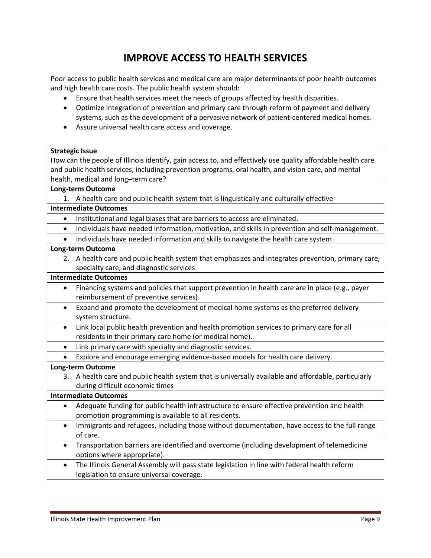# **IMPROVE ACCESS TO HEALTH SERVICES**

Poor access to public health services and medical care are major determinants of poor health outcomes and high health care costs. The public health system should:

- Ensure that health services meet the needs of groups affected by health disparities.
- Optimize integration of prevention and primary care through reform of payment and delivery systems, such as the development of a pervasive network of patient-centered medical homes.
- Assure universal health care access and coverage.

### **Strategic Issue**

How can the people of Illinois identify, gain access to, and effectively use quality affordable health care and public health services, including prevention programs, oral health, and vision care, and mental health, medical and long–term care?

### **Long-term Outcome**

1. A health care and public health system that is linguistically and culturally effective

### **Intermediate Outcomes**

- Institutional and legal biases that are barriers to access are eliminated.
- Individuals have needed information, motivation, and skills in prevention and self-management.
- Individuals have needed information and skills to navigate the health care system.

#### **Long-term Outcome**

2. A health care and public health system that emphasizes and integrates prevention, primary care, specialty care, and diagnostic services

### **Intermediate Outcomes**

- Financing systems and policies that support prevention in health care are in place (e.g., payer reimbursement of preventive services).
- Expand and promote the development of medical home systems as the preferred delivery system structure.
- Link local public health prevention and health promotion services to primary care for all residents in their primary care home (or medical home).
- Link primary care with specialty and diagnostic services.
- Explore and encourage emerging evidence-based models for health care delivery.

### **Long-term Outcome**

3. A health care and public health system that is universally available and affordable, particularly during difficult economic times

### **Intermediate Outcomes**

- Adequate funding for public health infrastructure to ensure effective prevention and health promotion programming is available to all residents.
- Immigrants and refugees, including those without documentation, have access to the full range of care.
- Transportation barriers are identified and overcome (including development of telemedicine options where appropriate).
- The Illinois General Assembly will pass state legislation in line with federal health reform legislation to ensure universal coverage.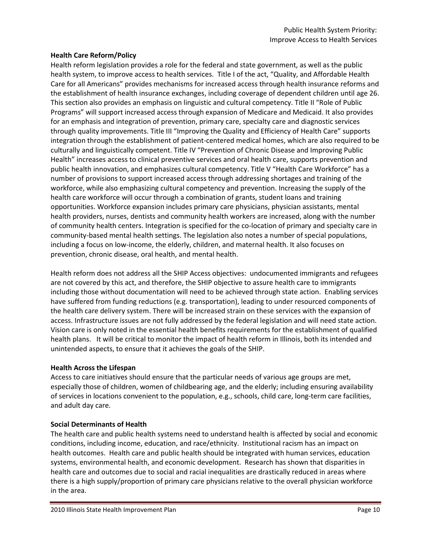### **Health Care Reform/Policy**

Health reform legislation provides a role for the federal and state government, as well as the public health system, to improve access to health services. Title I of the act, "Quality, and Affordable Health Care for all Americans" provides mechanisms for increased access through health insurance reforms and the establishment of health insurance exchanges, including coverage of dependent children until age 26. This section also provides an emphasis on linguistic and cultural competency. Title II "Role of Public Programs" will support increased access through expansion of Medicare and Medicaid. It also provides for an emphasis and integration of prevention, primary care, specialty care and diagnostic services through quality improvements. Title III "Improving the Quality and Efficiency of Health Care" supports integration through the establishment of patient-centered medical homes, which are also required to be culturally and linguistically competent. Title IV "Prevention of Chronic Disease and Improving Public Health" increases access to clinical preventive services and oral health care, supports prevention and public health innovation, and emphasizes cultural competency. Title V "Health Care Workforce" has a number of provisions to support increased access through addressing shortages and training of the workforce, while also emphasizing cultural competency and prevention. Increasing the supply of the health care workforce will occur through a combination of grants, student loans and training opportunities. Workforce expansion includes primary care physicians, physician assistants, mental health providers, nurses, dentists and community health workers are increased, along with the number of community health centers. Integration is specified for the co-location of primary and specialty care in community-based mental health settings. The legislation also notes a number of special populations, including a focus on low-income, the elderly, children, and maternal health. It also focuses on prevention, chronic disease, oral health, and mental health.

Health reform does not address all the SHIP Access objectives: undocumented immigrants and refugees are not covered by this act, and therefore, the SHIP objective to assure health care to immigrants including those without documentation will need to be achieved through state action. Enabling services have suffered from funding reductions (e.g. transportation), leading to under resourced components of the health care delivery system. There will be increased strain on these services with the expansion of access. Infrastructure issues are not fully addressed by the federal legislation and will need state action. Vision care is only noted in the essential health benefits requirements for the establishment of qualified health plans. It will be critical to monitor the impact of health reform in Illinois, both its intended and unintended aspects, to ensure that it achieves the goals of the SHIP.

### **Health Across the Lifespan**

Access to care initiatives should ensure that the particular needs of various age groups are met, especially those of children, women of childbearing age, and the elderly; including ensuring availability of services in locations convenient to the population, e.g., schools, child care, long-term care facilities, and adult day care.

### **Social Determinants of Health**

The health care and public health systems need to understand health is affected by social and economic conditions, including income, education, and race/ethnicity. Institutional racism has an impact on health outcomes. Health care and public health should be integrated with human services, education systems, environmental health, and economic development. Research has shown that disparities in health care and outcomes due to social and racial inequalities are drastically reduced in areas where there is a high supply/proportion of primary care physicians relative to the overall physician workforce in the area.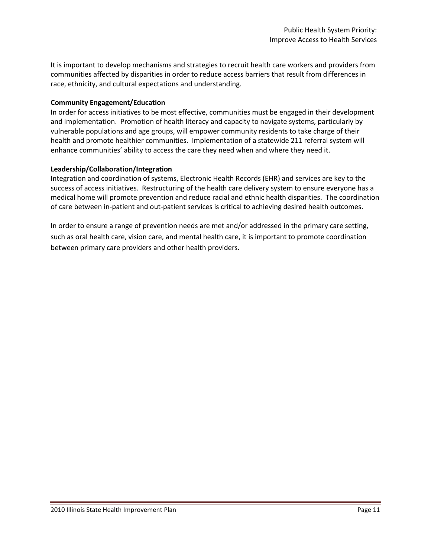It is important to develop mechanisms and strategies to recruit health care workers and providers from communities affected by disparities in order to reduce access barriers that result from differences in race, ethnicity, and cultural expectations and understanding.

### **Community Engagement/Education**

In order for access initiatives to be most effective, communities must be engaged in their development and implementation. Promotion of health literacy and capacity to navigate systems, particularly by vulnerable populations and age groups, will empower community residents to take charge of their health and promote healthier communities. Implementation of a statewide 211 referral system will enhance communities' ability to access the care they need when and where they need it.

### **Leadership/Collaboration/Integration**

Integration and coordination of systems, Electronic Health Records (EHR) and services are key to the success of access initiatives. Restructuring of the health care delivery system to ensure everyone has a medical home will promote prevention and reduce racial and ethnic health disparities. The coordination of care between in-patient and out-patient services is critical to achieving desired health outcomes.

In order to ensure a range of prevention needs are met and/or addressed in the primary care setting, such as oral health care, vision care, and mental health care, it is important to promote coordination between primary care providers and other health providers.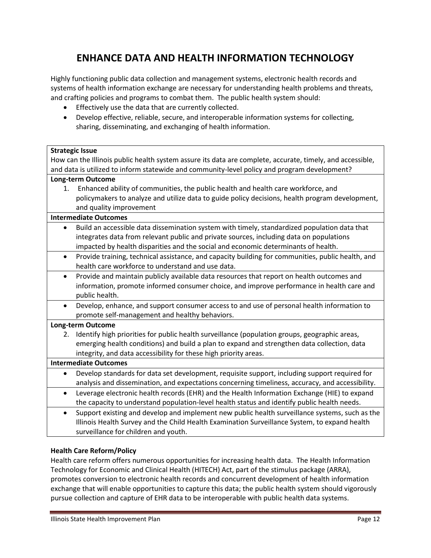# **ENHANCE DATA AND HEALTH INFORMATION TECHNOLOGY**

Highly functioning public data collection and management systems, electronic health records and systems of health information exchange are necessary for understanding health problems and threats, and crafting policies and programs to combat them. The public health system should:

- Effectively use the data that are currently collected.
- Develop effective, reliable, secure, and interoperable information systems for collecting, sharing, disseminating, and exchanging of health information.

### **Strategic Issue**

How can the Illinois public health system assure its data are complete, accurate, timely, and accessible, and data is utilized to inform statewide and community-level policy and program development?

### **Long-term Outcome**

1. Enhanced ability of communities, the public health and health care workforce, and policymakers to analyze and utilize data to guide policy decisions, health program development, and quality improvement

### **Intermediate Outcomes**

- Build an accessible data dissemination system with timely, standardized population data that integrates data from relevant public and private sources, including data on populations impacted by health disparities and the social and economic determinants of health.
- Provide training, technical assistance, and capacity building for communities, public health, and health care workforce to understand and use data.
- Provide and maintain publicly available data resources that report on health outcomes and information, promote informed consumer choice, and improve performance in health care and public health.
- Develop, enhance, and support consumer access to and use of personal health information to promote self-management and healthy behaviors.

### **Long-term Outcome**

2. Identify high priorities for public health surveillance (population groups, geographic areas, emerging health conditions) and build a plan to expand and strengthen data collection, data integrity, and data accessibility for these high priority areas.

### **Intermediate Outcomes**

- Develop standards for data set development, requisite support, including support required for analysis and dissemination, and expectations concerning timeliness, accuracy, and accessibility.
- Leverage electronic health records (EHR) and the Health Information Exchange (HIE) to expand the capacity to understand population-level health status and identify public health needs.
- Support existing and develop and implement new public health surveillance systems, such as the Illinois Health Survey and the Child Health Examination Surveillance System, to expand health surveillance for children and youth.

### **Health Care Reform/Policy**

Health care reform offers numerous opportunities for increasing health data. The Health Information Technology for Economic and Clinical Health (HITECH) Act, part of the stimulus package (ARRA), promotes conversion to electronic health records and concurrent development of health information exchange that will enable opportunities to capture this data; the public health system should vigorously pursue collection and capture of EHR data to be interoperable with public health data systems.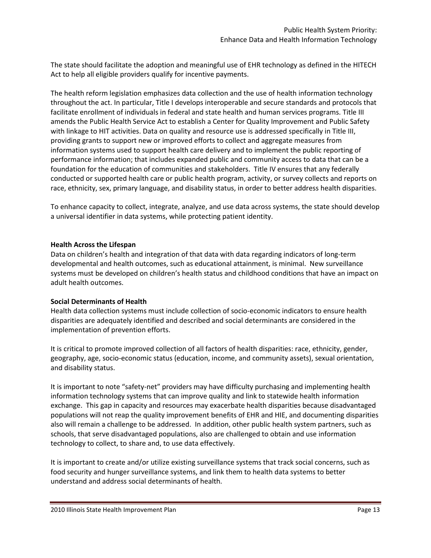The state should facilitate the adoption and meaningful use of EHR technology as defined in the HITECH Act to help all eligible providers qualify for incentive payments.

The health reform legislation emphasizes data collection and the use of health information technology throughout the act. In particular, Title I develops interoperable and secure standards and protocols that facilitate enrollment of individuals in federal and state health and human services programs. Title III amends the Public Health Service Act to establish a Center for Quality Improvement and Public Safety with linkage to HIT activities. Data on quality and resource use is addressed specifically in Title III, providing grants to support new or improved efforts to collect and aggregate measures from information systems used to support health care delivery and to implement the public reporting of performance information; that includes expanded public and community access to data that can be a foundation for the education of communities and stakeholders. Title IV ensures that any federally conducted or supported health care or public health program, activity, or survey collects and reports on race, ethnicity, sex, primary language, and disability status, in order to better address health disparities.

To enhance capacity to collect, integrate, analyze, and use data across systems, the state should develop a universal identifier in data systems, while protecting patient identity.

### **Health Across the Lifespan**

Data on children's health and integration of that data with data regarding indicators of long-term developmental and health outcomes, such as educational attainment, is minimal. New surveillance systems must be developed on children's health status and childhood conditions that have an impact on adult health outcomes.

### **Social Determinants of Health**

Health data collection systems must include collection of socio-economic indicators to ensure health disparities are adequately identified and described and social determinants are considered in the implementation of prevention efforts.

It is critical to promote improved collection of all factors of health disparities: race, ethnicity, gender, geography, age, socio-economic status (education, income, and community assets), sexual orientation, and disability status.

It is important to note "safety-net" providers may have difficulty purchasing and implementing health information technology systems that can improve quality and link to statewide health information exchange. This gap in capacity and resources may exacerbate health disparities because disadvantaged populations will not reap the quality improvement benefits of EHR and HIE, and documenting disparities also will remain a challenge to be addressed. In addition, other public health system partners, such as schools, that serve disadvantaged populations, also are challenged to obtain and use information technology to collect, to share and, to use data effectively.

It is important to create and/or utilize existing surveillance systems that track social concerns, such as food security and hunger surveillance systems, and link them to health data systems to better understand and address social determinants of health.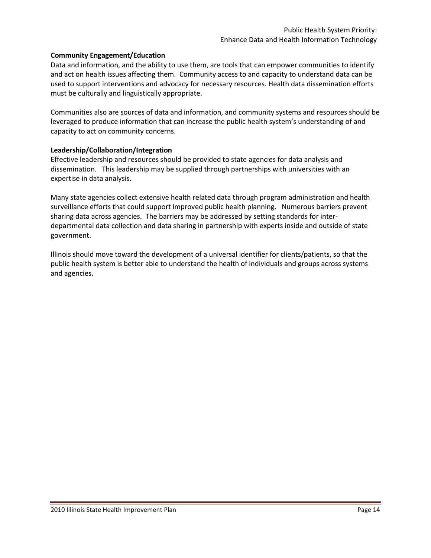### **Community Engagement/Education**

Data and information, and the ability to use them, are tools that can empower communities to identify and act on health issues affecting them. Community access to and capacity to understand data can be used to support interventions and advocacy for necessary resources. Health data dissemination efforts must be culturally and linguistically appropriate.

Communities also are sources of data and information, and community systems and resources should be leveraged to produce information that can increase the public health system's understanding of and capacity to act on community concerns.

### **Leadership/Collaboration/Integration**

Effective leadership and resources should be provided to state agencies for data analysis and dissemination. This leadership may be supplied through partnerships with universities with an expertise in data analysis.

Many state agencies collect extensive health related data through program administration and health surveillance efforts that could support improved public health planning. Numerous barriers prevent sharing data across agencies. The barriers may be addressed by setting standards for interdepartmental data collection and data sharing in partnership with experts inside and outside of state government.

Illinois should move toward the development of a universal identifier for clients/patients, so that the public health system is better able to understand the health of individuals and groups across systems and agencies.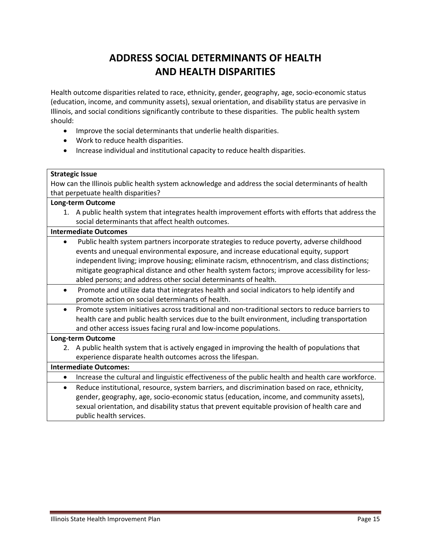# **ADDRESS SOCIAL DETERMINANTS OF HEALTH AND HEALTH DISPARITIES**

Health outcome disparities related to race, ethnicity, gender, geography, age, socio-economic status (education, income, and community assets), sexual orientation, and disability status are pervasive in Illinois, and social conditions significantly contribute to these disparities. The public health system should:

- Improve the social determinants that underlie health disparities.
- Work to reduce health disparities.
- Increase individual and institutional capacity to reduce health disparities.

### **Strategic Issue**

How can the Illinois public health system acknowledge and address the social determinants of health that perpetuate health disparities?

### **Long-term Outcome**

1. A public health system that integrates health improvement efforts with efforts that address the social determinants that affect health outcomes.

#### **Intermediate Outcomes**

- Public health system partners incorporate strategies to reduce poverty, adverse childhood events and unequal environmental exposure, and increase educational equity, support independent living; improve housing; eliminate racism, ethnocentrism, and class distinctions; mitigate geographical distance and other health system factors; improve accessibility for lessabled persons; and address other social determinants of health.
- Promote and utilize data that integrates health and social indicators to help identify and promote action on social determinants of health.
- Promote system initiatives across traditional and non-traditional sectors to reduce barriers to health care and public health services due to the built environment, including transportation and other access issues facing rural and low-income populations.

### **Long-term Outcome**

2. A public health system that is actively engaged in improving the health of populations that experience disparate health outcomes across the lifespan.

### **Intermediate Outcomes:**

- Increase the cultural and linguistic effectiveness of the public health and health care workforce.
- Reduce institutional, resource, system barriers, and discrimination based on race, ethnicity, gender, geography, age, socio-economic status (education, income, and community assets), sexual orientation, and disability status that prevent equitable provision of health care and public health services.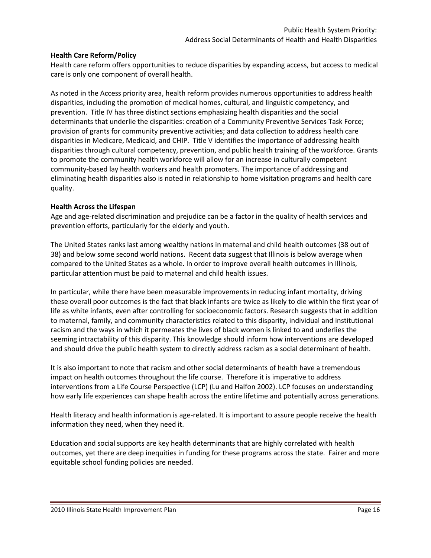### **Health Care Reform/Policy**

Health care reform offers opportunities to reduce disparities by expanding access, but access to medical care is only one component of overall health.

As noted in the Access priority area, health reform provides numerous opportunities to address health disparities, including the promotion of medical homes, cultural, and linguistic competency, and prevention. Title IV has three distinct sections emphasizing health disparities and the social determinants that underlie the disparities: creation of a Community Preventive Services Task Force; provision of grants for community preventive activities; and data collection to address health care disparities in Medicare, Medicaid, and CHIP. Title V identifies the importance of addressing health disparities through cultural competency, prevention, and public health training of the workforce. Grants to promote the community health workforce will allow for an increase in culturally competent community-based lay health workers and health promoters. The importance of addressing and eliminating health disparities also is noted in relationship to home visitation programs and health care quality.

### **Health Across the Lifespan**

Age and age-related discrimination and prejudice can be a factor in the quality of health services and prevention efforts, particularly for the elderly and youth.

The United States ranks last among wealthy nations in maternal and child health outcomes (38 out of 38) and below some second world nations. Recent data suggest that Illinois is below average when compared to the United States as a whole. In order to improve overall health outcomes in Illinois, particular attention must be paid to maternal and child health issues.

In particular, while there have been measurable improvements in reducing infant mortality, driving these overall poor outcomes is the fact that black infants are twice as likely to die within the first year of life as white infants, even after controlling for socioeconomic factors. Research suggests that in addition to maternal, family, and community characteristics related to this disparity, individual and institutional racism and the ways in which it permeates the lives of black women is linked to and underlies the seeming intractability of this disparity. This knowledge should inform how interventions are developed and should drive the public health system to directly address racism as a social determinant of health.

It is also important to note that racism and other social determinants of health have a tremendous impact on health outcomes throughout the life course. Therefore it is imperative to address interventions from a Life Course Perspective (LCP) (Lu and Halfon 2002). LCP focuses on understanding how early life experiences can shape health across the entire lifetime and potentially across generations.

Health literacy and health information is age-related. It is important to assure people receive the health information they need, when they need it.

Education and social supports are key health determinants that are highly correlated with health outcomes, yet there are deep inequities in funding for these programs across the state. Fairer and more equitable school funding policies are needed.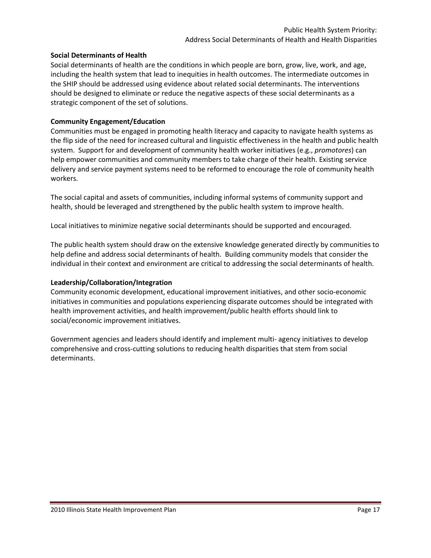### **Social Determinants of Health**

Social determinants of health are the conditions in which people are born, grow, live, work, and age, including the health system that lead to inequities in health outcomes. The intermediate outcomes in the SHIP should be addressed using evidence about related social determinants. The interventions should be designed to eliminate or reduce the negative aspects of these social determinants as a strategic component of the set of solutions.

### **Community Engagement/Education**

Communities must be engaged in promoting health literacy and capacity to navigate health systems as the flip side of the need for increased cultural and linguistic effectiveness in the health and public health system. Support for and development of community health worker initiatives (e.g., *promotores*) can help empower communities and community members to take charge of their health. Existing service delivery and service payment systems need to be reformed to encourage the role of community health workers.

The social capital and assets of communities, including informal systems of community support and health, should be leveraged and strengthened by the public health system to improve health.

Local initiatives to minimize negative social determinants should be supported and encouraged.

The public health system should draw on the extensive knowledge generated directly by communities to help define and address social determinants of health. Building community models that consider the individual in their context and environment are critical to addressing the social determinants of health.

### **Leadership/Collaboration/Integration**

Community economic development, educational improvement initiatives, and other socio-economic initiatives in communities and populations experiencing disparate outcomes should be integrated with health improvement activities, and health improvement/public health efforts should link to social/economic improvement initiatives.

Government agencies and leaders should identify and implement multi- agency initiatives to develop comprehensive and cross-cutting solutions to reducing health disparities that stem from social determinants.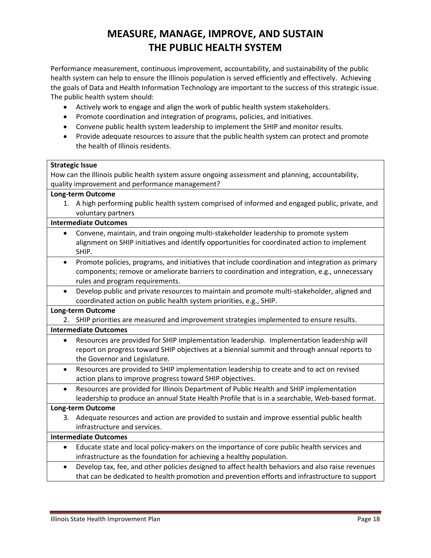# **MEASURE, MANAGE, IMPROVE, AND SUSTAIN THE PUBLIC HEALTH SYSTEM**

Performance measurement, continuous improvement, accountability, and sustainability of the public health system can help to ensure the Illinois population is served efficiently and effectively. Achieving the goals of Data and Health Information Technology are important to the success of this strategic issue. The public health system should:

- Actively work to engage and align the work of public health system stakeholders.
- Promote coordination and integration of programs, policies, and initiatives.
- Convene public health system leadership to implement the SHIP and monitor results.
- Provide adequate resources to assure that the public health system can protect and promote the health of Illinois residents.

| <b>Strategic Issue</b>                                                                                                          |  |  |  |  |
|---------------------------------------------------------------------------------------------------------------------------------|--|--|--|--|
| How can the Illinois public health system assure ongoing assessment and planning, accountability,                               |  |  |  |  |
| quality improvement and performance management?                                                                                 |  |  |  |  |
| <b>Long-term Outcome</b>                                                                                                        |  |  |  |  |
| A high performing public health system comprised of informed and engaged public, private, and<br>1.<br>voluntary partners       |  |  |  |  |
| <b>Intermediate Outcomes</b>                                                                                                    |  |  |  |  |
| Convene, maintain, and train ongoing multi-stakeholder leadership to promote system<br>$\bullet$                                |  |  |  |  |
| alignment on SHIP initiatives and identify opportunities for coordinated action to implement<br>SHIP.                           |  |  |  |  |
| Promote policies, programs, and initiatives that include coordination and integration as primary<br>$\bullet$                   |  |  |  |  |
| components; remove or ameliorate barriers to coordination and integration, e.g., unnecessary<br>rules and program requirements. |  |  |  |  |
| Develop public and private resources to maintain and promote multi-stakeholder, aligned and<br>$\bullet$                        |  |  |  |  |
| coordinated action on public health system priorities, e.g., SHIP.                                                              |  |  |  |  |
| <b>Long-term Outcome</b>                                                                                                        |  |  |  |  |
| 2. SHIP priorities are measured and improvement strategies implemented to ensure results.                                       |  |  |  |  |
| <b>Intermediate Outcomes</b>                                                                                                    |  |  |  |  |
| Resources are provided for SHIP implementation leadership. Implementation leadership will<br>$\bullet$                          |  |  |  |  |
| report on progress toward SHIP objectives at a biennial summit and through annual reports to                                    |  |  |  |  |
| the Governor and Legislature.                                                                                                   |  |  |  |  |
| Resources are provided to SHIP implementation leadership to create and to act on revised<br>$\bullet$                           |  |  |  |  |
| action plans to improve progress toward SHIP objectives.                                                                        |  |  |  |  |
| Resources are provided for Illinois Department of Public Health and SHIP implementation<br>$\bullet$                            |  |  |  |  |
| leadership to produce an annual State Health Profile that is in a searchable, Web-based format.                                 |  |  |  |  |
| <b>Long-term Outcome</b>                                                                                                        |  |  |  |  |
| Adequate resources and action are provided to sustain and improve essential public health<br>3.                                 |  |  |  |  |
| infrastructure and services.                                                                                                    |  |  |  |  |
| <b>Intermediate Outcomes</b>                                                                                                    |  |  |  |  |
| Educate state and local policy-makers on the importance of core public health services and<br>$\bullet$                         |  |  |  |  |
| infrastructure as the foundation for achieving a healthy population.                                                            |  |  |  |  |
| Develop tax, fee, and other policies designed to affect health behaviors and also raise revenues<br>$\bullet$                   |  |  |  |  |
| that can be dedicated to health promotion and prevention efforts and infrastructure to support                                  |  |  |  |  |
|                                                                                                                                 |  |  |  |  |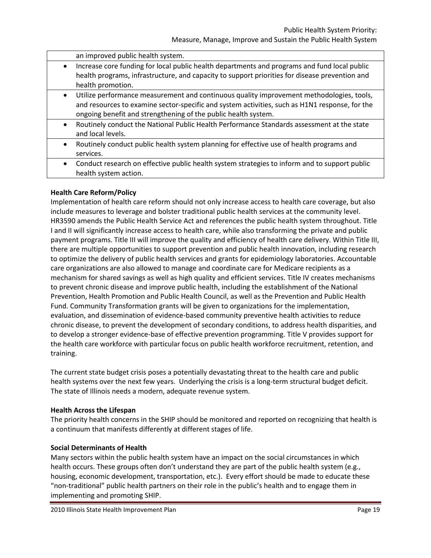an improved public health system. • Increase core funding for local public health departments and programs and fund local public health programs, infrastructure, and capacity to support priorities for disease prevention and health promotion. Utilize performance measurement and continuous quality improvement methodologies, tools, and resources to examine sector-specific and system activities, such as H1N1 response, for the ongoing benefit and strengthening of the public health system. Routinely conduct the National Public Health Performance Standards assessment at the state and local levels. Routinely conduct public health system planning for effective use of health programs and services. Conduct research on effective public health system strategies to inform and to support public health system action.

### **Health Care Reform/Policy**

Implementation of health care reform should not only increase access to health care coverage, but also include measures to leverage and bolster traditional public health services at the community level. HR3590 amends the Public Health Service Act and references the public health system throughout. Title I and II will significantly increase access to health care, while also transforming the private and public payment programs. Title III will improve the quality and efficiency of health care delivery. Within Title III, there are multiple opportunities to support prevention and public health innovation, including research to optimize the delivery of public health services and grants for epidemiology laboratories. Accountable care organizations are also allowed to manage and coordinate care for Medicare recipients as a mechanism for shared savings as well as high quality and efficient services. Title IV creates mechanisms to prevent chronic disease and improve public health, including the establishment of the National Prevention, Health Promotion and Public Health Council, as well as the Prevention and Public Health Fund. Community Transformation grants will be given to organizations for the implementation, evaluation, and dissemination of evidence-based community preventive health activities to reduce chronic disease, to prevent the development of secondary conditions, to address health disparities, and to develop a stronger evidence-base of effective prevention programming. Title V provides support for the health care workforce with particular focus on public health workforce recruitment, retention, and training.

The current state budget crisis poses a potentially devastating threat to the health care and public health systems over the next few years. Underlying the crisis is a long-term structural budget deficit. The state of Illinois needs a modern, adequate revenue system.

### **Health Across the Lifespan**

The priority health concerns in the SHIP should be monitored and reported on recognizing that health is a continuum that manifests differently at different stages of life.

### **Social Determinants of Health**

Many sectors within the public health system have an impact on the social circumstances in which health occurs. These groups often don't understand they are part of the public health system (e.g., housing, economic development, transportation, etc.). Every effort should be made to educate these "non-traditional" public health partners on their role in the public's health and to engage them in implementing and promoting SHIP.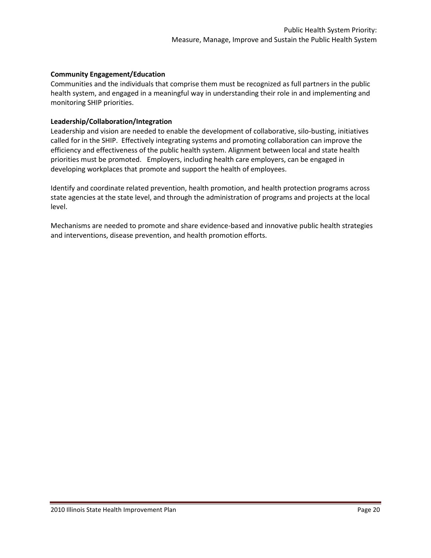### **Community Engagement/Education**

Communities and the individuals that comprise them must be recognized as full partners in the public health system, and engaged in a meaningful way in understanding their role in and implementing and monitoring SHIP priorities.

### **Leadership/Collaboration/Integration**

Leadership and vision are needed to enable the development of collaborative, silo-busting, initiatives called for in the SHIP. Effectively integrating systems and promoting collaboration can improve the efficiency and effectiveness of the public health system. Alignment between local and state health priorities must be promoted. Employers, including health care employers, can be engaged in developing workplaces that promote and support the health of employees.

Identify and coordinate related prevention, health promotion, and health protection programs across state agencies at the state level, and through the administration of programs and projects at the local level.

Mechanisms are needed to promote and share evidence-based and innovative public health strategies and interventions, disease prevention, and health promotion efforts.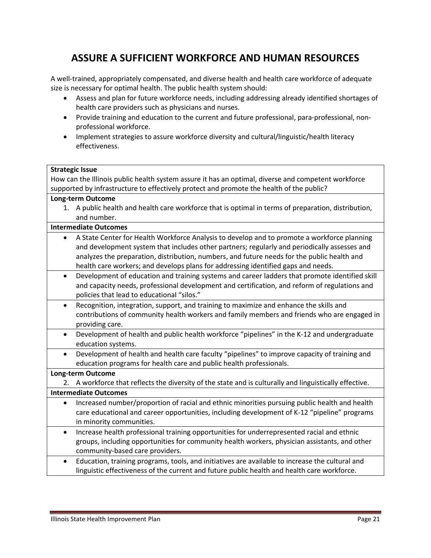# **ASSURE A SUFFICIENT WORKFORCE AND HUMAN RESOURCES**

A well-trained, appropriately compensated, and diverse health and health care workforce of adequate size is necessary for optimal health. The public health system should:

- Assess and plan for future workforce needs, including addressing already identified shortages of health care providers such as physicians and nurses.
- Provide training and education to the current and future professional, para-professional, nonprofessional workforce.
- Implement strategies to assure workforce diversity and cultural/linguistic/health literacy effectiveness.

| <b>Strategic Issue</b>                                                                                       |  |  |  |  |
|--------------------------------------------------------------------------------------------------------------|--|--|--|--|
| How can the Illinois public health system assure it has an optimal, diverse and competent workforce          |  |  |  |  |
| supported by infrastructure to effectively protect and promote the health of the public?                     |  |  |  |  |
| <b>Long-term Outcome</b>                                                                                     |  |  |  |  |
| 1. A public health and health care workforce that is optimal in terms of preparation, distribution,          |  |  |  |  |
| and number.                                                                                                  |  |  |  |  |
| <b>Intermediate Outcomes</b>                                                                                 |  |  |  |  |
| A State Center for Health Workforce Analysis to develop and to promote a workforce planning                  |  |  |  |  |
| and development system that includes other partners; regularly and periodically assesses and                 |  |  |  |  |
| analyzes the preparation, distribution, numbers, and future needs for the public health and                  |  |  |  |  |
| health care workers; and develops plans for addressing identified gaps and needs.                            |  |  |  |  |
| Development of education and training systems and career ladders that promote identified skill<br>$\bullet$  |  |  |  |  |
| and capacity needs, professional development and certification, and reform of regulations and                |  |  |  |  |
| policies that lead to educational "silos."                                                                   |  |  |  |  |
| Recognition, integration, support, and training to maximize and enhance the skills and<br>$\bullet$          |  |  |  |  |
| contributions of community health workers and family members and friends who are engaged in                  |  |  |  |  |
| providing care.                                                                                              |  |  |  |  |
| Development of health and public health workforce "pipelines" in the K-12 and undergraduate<br>$\bullet$     |  |  |  |  |
| education systems.                                                                                           |  |  |  |  |
| Development of health and health care faculty "pipelines" to improve capacity of training and<br>$\bullet$   |  |  |  |  |
| education programs for health care and public health professionals.                                          |  |  |  |  |
| <b>Long-term Outcome</b>                                                                                     |  |  |  |  |
| A workforce that reflects the diversity of the state and is culturally and linguistically effective.<br>2.   |  |  |  |  |
| <b>Intermediate Outcomes</b>                                                                                 |  |  |  |  |
| Increased number/proportion of racial and ethnic minorities pursuing public health and health<br>$\bullet$   |  |  |  |  |
| care educational and career opportunities, including development of K-12 "pipeline" programs                 |  |  |  |  |
| in minority communities.                                                                                     |  |  |  |  |
| Increase health professional training opportunities for underrepresented racial and ethnic<br>$\bullet$      |  |  |  |  |
| groups, including opportunities for community health workers, physician assistants, and other                |  |  |  |  |
| community-based care providers.                                                                              |  |  |  |  |
| Education, training programs, tools, and initiatives are available to increase the cultural and<br>$\bullet$ |  |  |  |  |
| linguistic effectiveness of the current and future public health and health care workforce.                  |  |  |  |  |
|                                                                                                              |  |  |  |  |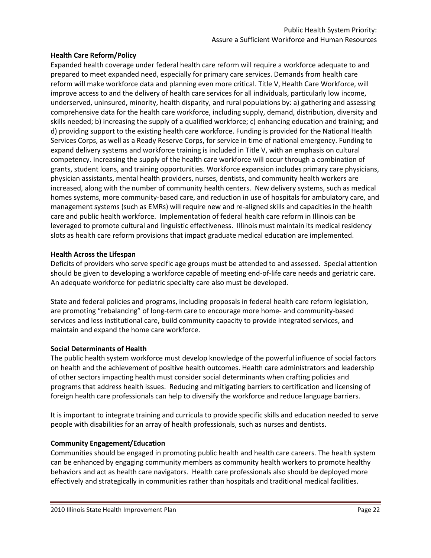### **Health Care Reform/Policy**

Expanded health coverage under federal health care reform will require a workforce adequate to and prepared to meet expanded need, especially for primary care services. Demands from health care reform will make workforce data and planning even more critical. Title V, Health Care Workforce, will improve access to and the delivery of health care services for all individuals, particularly low income, underserved, uninsured, minority, health disparity, and rural populations by: a) gathering and assessing comprehensive data for the health care workforce, including supply, demand, distribution, diversity and skills needed; b) increasing the supply of a qualified workforce; c) enhancing education and training; and d) providing support to the existing health care workforce. Funding is provided for the National Health Services Corps, as well as a Ready Reserve Corps, for service in time of national emergency. Funding to expand delivery systems and workforce training is included in Title V, with an emphasis on cultural competency. Increasing the supply of the health care workforce will occur through a combination of grants, student loans, and training opportunities. Workforce expansion includes primary care physicians, physician assistants, mental health providers, nurses, dentists, and community health workers are increased, along with the number of community health centers. New delivery systems, such as medical homes systems, more community-based care, and reduction in use of hospitals for ambulatory care, and management systems (such as EMRs) will require new and re-aligned skills and capacities in the health care and public health workforce. Implementation of federal health care reform in Illinois can be leveraged to promote cultural and linguistic effectiveness. Illinois must maintain its medical residency slots as health care reform provisions that impact graduate medical education are implemented.

### **Health Across the Lifespan**

Deficits of providers who serve specific age groups must be attended to and assessed. Special attention should be given to developing a workforce capable of meeting end-of-life care needs and geriatric care. An adequate workforce for pediatric specialty care also must be developed.

State and federal policies and programs, including proposals in federal health care reform legislation, are promoting "rebalancing" of long-term care to encourage more home- and community-based services and less institutional care, build community capacity to provide integrated services, and maintain and expand the home care workforce.

### **Social Determinants of Health**

The public health system workforce must develop knowledge of the powerful influence of social factors on health and the achievement of positive health outcomes. Health care administrators and leadership of other sectors impacting health must consider social determinants when crafting policies and programs that address health issues. Reducing and mitigating barriers to certification and licensing of foreign health care professionals can help to diversify the workforce and reduce language barriers.

It is important to integrate training and curricula to provide specific skills and education needed to serve people with disabilities for an array of health professionals, such as nurses and dentists.

### **Community Engagement/Education**

Communities should be engaged in promoting public health and health care careers. The health system can be enhanced by engaging community members as community health workers to promote healthy behaviors and act as health care navigators. Health care professionals also should be deployed more effectively and strategically in communities rather than hospitals and traditional medical facilities.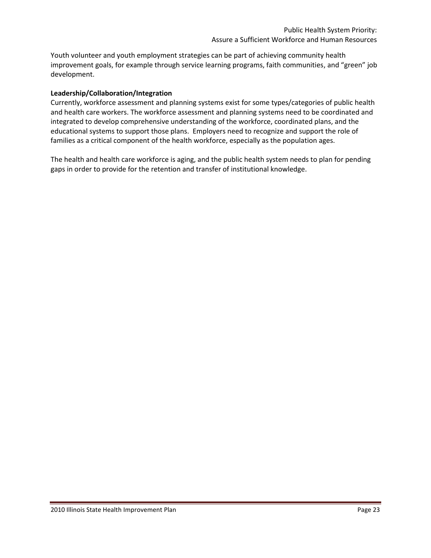Youth volunteer and youth employment strategies can be part of achieving community health improvement goals, for example through service learning programs, faith communities, and "green" job development.

### **Leadership/Collaboration/Integration**

Currently, workforce assessment and planning systems exist for some types/categories of public health and health care workers. The workforce assessment and planning systems need to be coordinated and integrated to develop comprehensive understanding of the workforce, coordinated plans, and the educational systems to support those plans. Employers need to recognize and support the role of families as a critical component of the health workforce, especially as the population ages.

The health and health care workforce is aging, and the public health system needs to plan for pending gaps in order to provide for the retention and transfer of institutional knowledge.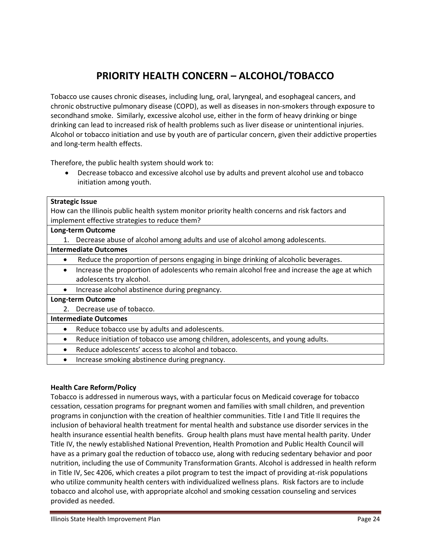# **PRIORITY HEALTH CONCERN – ALCOHOL/TOBACCO**

Tobacco use causes chronic diseases, including lung, oral, laryngeal, and esophageal cancers, and chronic obstructive pulmonary disease (COPD), as well as diseases in non-smokers through exposure to secondhand smoke. Similarly, excessive alcohol use, either in the form of heavy drinking or binge drinking can lead to increased risk of health problems such as liver disease or unintentional injuries. Alcohol or tobacco initiation and use by youth are of particular concern, given their addictive properties and long-term health effects.

Therefore, the public health system should work to:

 Decrease tobacco and excessive alcohol use by adults and prevent alcohol use and tobacco initiation among youth.

|                                                                                                 | <b>Strategic Issue</b>                                                                       |  |  |  |
|-------------------------------------------------------------------------------------------------|----------------------------------------------------------------------------------------------|--|--|--|
| How can the Illinois public health system monitor priority health concerns and risk factors and |                                                                                              |  |  |  |
| implement effective strategies to reduce them?                                                  |                                                                                              |  |  |  |
| <b>Long-term Outcome</b>                                                                        |                                                                                              |  |  |  |
|                                                                                                 | Decrease abuse of alcohol among adults and use of alcohol among adolescents.                 |  |  |  |
| <b>Intermediate Outcomes</b>                                                                    |                                                                                              |  |  |  |
| ٠                                                                                               | Reduce the proportion of persons engaging in binge drinking of alcoholic beverages.          |  |  |  |
| $\bullet$                                                                                       | Increase the proportion of adolescents who remain alcohol free and increase the age at which |  |  |  |
|                                                                                                 | adolescents try alcohol.                                                                     |  |  |  |
| $\bullet$                                                                                       | Increase alcohol abstinence during pregnancy.                                                |  |  |  |
| <b>Long-term Outcome</b>                                                                        |                                                                                              |  |  |  |
|                                                                                                 | 2. Decrease use of tobacco.                                                                  |  |  |  |
| <b>Intermediate Outcomes</b>                                                                    |                                                                                              |  |  |  |
| ٠                                                                                               | Reduce tobacco use by adults and adolescents.                                                |  |  |  |
| $\bullet$                                                                                       | Reduce initiation of tobacco use among children, adolescents, and young adults.              |  |  |  |
| $\bullet$                                                                                       | Reduce adolescents' access to alcohol and tobacco.                                           |  |  |  |
| $\bullet$                                                                                       | Increase smoking abstinence during pregnancy.                                                |  |  |  |

### **Health Care Reform/Policy**

Tobacco is addressed in numerous ways, with a particular focus on Medicaid coverage for tobacco cessation, cessation programs for pregnant women and families with small children, and prevention programs in conjunction with the creation of healthier communities. Title I and Title II requires the inclusion of behavioral health treatment for mental health and substance use disorder services in the health insurance essential health benefits. Group health plans must have mental health parity. Under Title IV, the newly established National Prevention, Health Promotion and Public Health Council will have as a primary goal the reduction of tobacco use, along with reducing sedentary behavior and poor nutrition, including the use of Community Transformation Grants. Alcohol is addressed in health reform in Title IV, Sec 4206, which creates a pilot program to test the impact of providing at-risk populations who utilize community health centers with individualized wellness plans. Risk factors are to include tobacco and alcohol use, with appropriate alcohol and smoking cessation counseling and services provided as needed.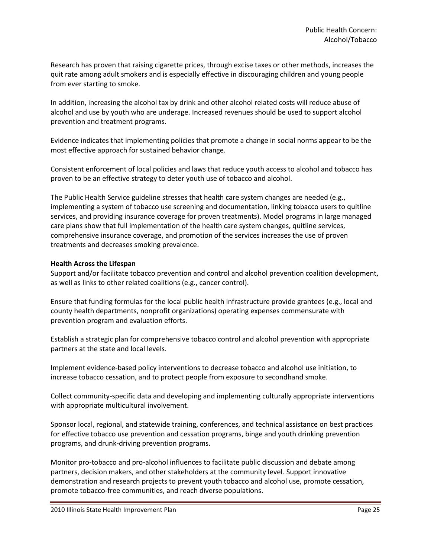Research has proven that raising cigarette prices, through excise taxes or other methods, increases the quit rate among adult smokers and is especially effective in discouraging children and young people from ever starting to smoke.

In addition, increasing the alcohol tax by drink and other alcohol related costs will reduce abuse of alcohol and use by youth who are underage. Increased revenues should be used to support alcohol prevention and treatment programs.

Evidence indicates that implementing policies that promote a change in social norms appear to be the most effective approach for sustained behavior change.

Consistent enforcement of local policies and laws that reduce youth access to alcohol and tobacco has proven to be an effective strategy to deter youth use of tobacco and alcohol.

The Public Health Service guideline stresses that health care system changes are needed (e.g., implementing a system of tobacco use screening and documentation, linking tobacco users to quitline services, and providing insurance coverage for proven treatments). Model programs in large managed care plans show that full implementation of the health care system changes, quitline services, comprehensive insurance coverage, and promotion of the services increases the use of proven treatments and decreases smoking prevalence.

### **Health Across the Lifespan**

Support and/or facilitate tobacco prevention and control and alcohol prevention coalition development, as well as links to other related coalitions (e.g., cancer control).

Ensure that funding formulas for the local public health infrastructure provide grantees (e.g., local and county health departments, nonprofit organizations) operating expenses commensurate with prevention program and evaluation efforts.

Establish a strategic plan for comprehensive tobacco control and alcohol prevention with appropriate partners at the state and local levels.

Implement evidence-based policy interventions to decrease tobacco and alcohol use initiation, to increase tobacco cessation, and to protect people from exposure to secondhand smoke.

Collect community-specific data and developing and implementing culturally appropriate interventions with appropriate multicultural involvement.

Sponsor local, regional, and statewide training, conferences, and technical assistance on best practices for effective tobacco use prevention and cessation programs, binge and youth drinking prevention programs, and drunk-driving prevention programs.

Monitor pro-tobacco and pro-alcohol influences to facilitate public discussion and debate among partners, decision makers, and other stakeholders at the community level. Support innovative demonstration and research projects to prevent youth tobacco and alcohol use, promote cessation, promote tobacco-free communities, and reach diverse populations.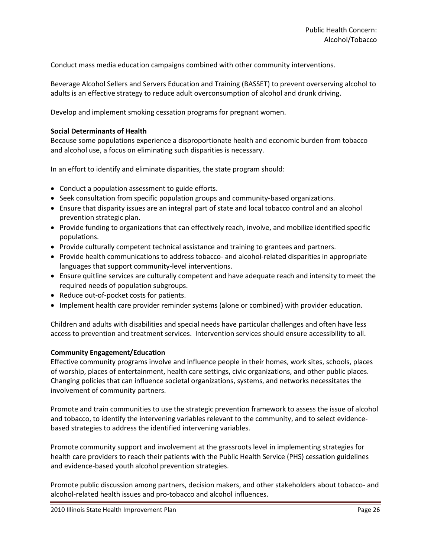Conduct mass media education campaigns combined with other community interventions.

Beverage Alcohol Sellers and Servers Education and Training (BASSET) to prevent overserving alcohol to adults is an effective strategy to reduce adult overconsumption of alcohol and drunk driving.

Develop and implement smoking cessation programs for pregnant women.

### **Social Determinants of Health**

Because some populations experience a disproportionate health and economic burden from tobacco and alcohol use, a focus on eliminating such disparities is necessary.

In an effort to identify and eliminate disparities, the state program should:

- Conduct a population assessment to guide efforts.
- Seek consultation from specific population groups and community-based organizations.
- Ensure that disparity issues are an integral part of state and local tobacco control and an alcohol prevention strategic plan.
- Provide funding to organizations that can effectively reach, involve, and mobilize identified specific populations.
- Provide culturally competent technical assistance and training to grantees and partners.
- Provide health communications to address tobacco- and alcohol-related disparities in appropriate languages that support community-level interventions.
- Ensure quitline services are culturally competent and have adequate reach and intensity to meet the required needs of population subgroups.
- Reduce out-of-pocket costs for patients.
- Implement health care provider reminder systems (alone or combined) with provider education.

Children and adults with disabilities and special needs have particular challenges and often have less access to prevention and treatment services. Intervention services should ensure accessibility to all.

#### **Community Engagement/Education**

Effective community programs involve and influence people in their homes, work sites, schools, places of worship, places of entertainment, health care settings, civic organizations, and other public places. Changing policies that can influence societal organizations, systems, and networks necessitates the involvement of community partners.

Promote and train communities to use the strategic prevention framework to assess the issue of alcohol and tobacco, to identify the intervening variables relevant to the community, and to select evidencebased strategies to address the identified intervening variables.

Promote community support and involvement at the grassroots level in implementing strategies for health care providers to reach their patients with the Public Health Service (PHS) cessation guidelines and evidence-based youth alcohol prevention strategies.

Promote public discussion among partners, decision makers, and other stakeholders about tobacco- and alcohol-related health issues and pro-tobacco and alcohol influences.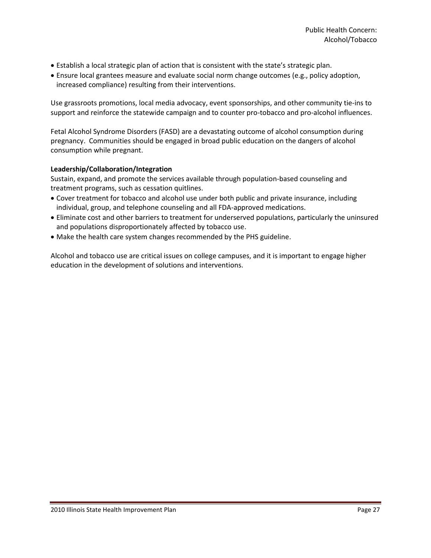- Establish a local strategic plan of action that is consistent with the state's strategic plan.
- Ensure local grantees measure and evaluate social norm change outcomes (e.g., policy adoption, increased compliance) resulting from their interventions.

Use grassroots promotions, local media advocacy, event sponsorships, and other community tie-ins to support and reinforce the statewide campaign and to counter pro-tobacco and pro-alcohol influences.

Fetal Alcohol Syndrome Disorders (FASD) are a devastating outcome of alcohol consumption during pregnancy. Communities should be engaged in broad public education on the dangers of alcohol consumption while pregnant.

### **Leadership/Collaboration/Integration**

Sustain, expand, and promote the services available through population-based counseling and treatment programs, such as cessation quitlines.

- Cover treatment for tobacco and alcohol use under both public and private insurance, including individual, group, and telephone counseling and all FDA-approved medications.
- Eliminate cost and other barriers to treatment for underserved populations, particularly the uninsured and populations disproportionately affected by tobacco use.
- Make the health care system changes recommended by the PHS guideline.

Alcohol and tobacco use are critical issues on college campuses, and it is important to engage higher education in the development of solutions and interventions.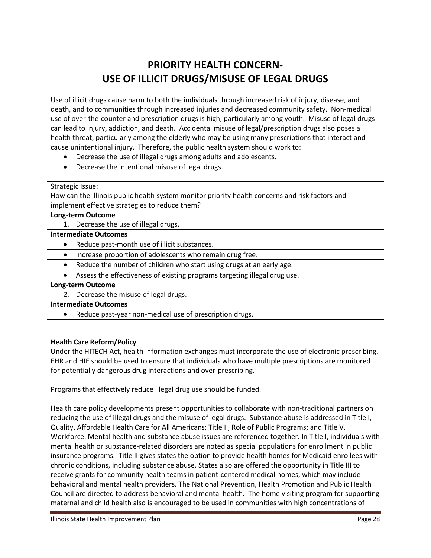# **PRIORITY HEALTH CONCERN-USE OF ILLICIT DRUGS/MISUSE OF LEGAL DRUGS**

Use of illicit drugs cause harm to both the individuals through increased risk of injury, disease, and death, and to communities through increased injuries and decreased community safety. Non-medical use of over-the-counter and prescription drugs is high, particularly among youth. Misuse of legal drugs can lead to injury, addiction, and death. Accidental misuse of legal/prescription drugs also poses a health threat, particularly among the elderly who may be using many prescriptions that interact and cause unintentional injury. Therefore, the public health system should work to:

- Decrease the use of illegal drugs among adults and adolescents.
- Decrease the intentional misuse of legal drugs.

Strategic Issue:

How can the Illinois public health system monitor priority health concerns and risk factors and implement effective strategies to reduce them?

### **Long-term Outcome**

1. Decrease the use of illegal drugs.

### **Intermediate Outcomes**

- Reduce past-month use of illicit substances.
- Increase proportion of adolescents who remain drug free.
- Reduce the number of children who start using drugs at an early age.
- Assess the effectiveness of existing programs targeting illegal drug use.

### **Long-term Outcome**

2. Decrease the misuse of legal drugs.

### **Intermediate Outcomes**

Reduce past-year non-medical use of prescription drugs.

### **Health Care Reform/Policy**

Under the HITECH Act, health information exchanges must incorporate the use of electronic prescribing. EHR and HIE should be used to ensure that individuals who have multiple prescriptions are monitored for potentially dangerous drug interactions and over-prescribing.

Programs that effectively reduce illegal drug use should be funded.

Health care policy developments present opportunities to collaborate with non-traditional partners on reducing the use of illegal drugs and the misuse of legal drugs. Substance abuse is addressed in Title I, Quality, Affordable Health Care for All Americans; Title II, Role of Public Programs; and Title V, Workforce. Mental health and substance abuse issues are referenced together. In Title I, individuals with mental health or substance-related disorders are noted as special populations for enrollment in public insurance programs. Title II gives states the option to provide health homes for Medicaid enrollees with chronic conditions, including substance abuse. States also are offered the opportunity in Title III to receive grants for community health teams in patient-centered medical homes, which may include behavioral and mental health providers. The National Prevention, Health Promotion and Public Health Council are directed to address behavioral and mental health. The home visiting program for supporting maternal and child health also is encouraged to be used in communities with high concentrations of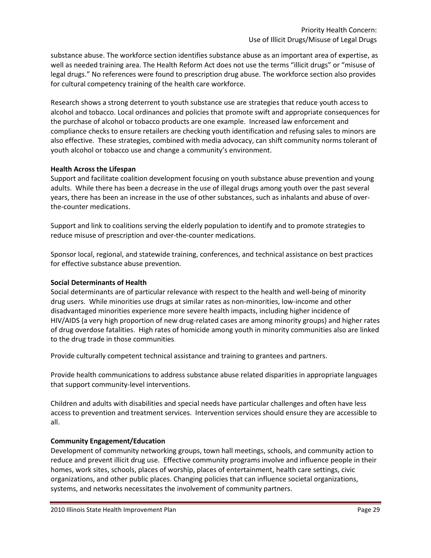substance abuse. The workforce section identifies substance abuse as an important area of expertise, as well as needed training area. The Health Reform Act does not use the terms "illicit drugs" or "misuse of legal drugs." No references were found to prescription drug abuse. The workforce section also provides for cultural competency training of the health care workforce.

Research shows a strong deterrent to youth substance use are strategies that reduce youth access to alcohol and tobacco. Local ordinances and policies that promote swift and appropriate consequences for the purchase of alcohol or tobacco products are one example. Increased law enforcement and compliance checks to ensure retailers are checking youth identification and refusing sales to minors are also effective. These strategies, combined with media advocacy, can shift community norms tolerant of youth alcohol or tobacco use and change a community's environment.

### **Health Across the Lifespan**

Support and facilitate coalition development focusing on youth substance abuse prevention and young adults. While there has been a decrease in the use of illegal drugs among youth over the past several years, there has been an increase in the use of other substances, such as inhalants and abuse of overthe-counter medications.

Support and link to coalitions serving the elderly population to identify and to promote strategies to reduce misuse of prescription and over-the-counter medications.

Sponsor local, regional, and statewide training, conferences, and technical assistance on best practices for effective substance abuse prevention.

### **Social Determinants of Health**

Social determinants are of particular relevance with respect to the health and well-being of minority drug users. While minorities use drugs at similar rates as non-minorities, low-income and other disadvantaged minorities experience more severe health impacts, including higher incidence of HIV/AIDS (a very high proportion of new drug-related cases are among minority groups) and higher rates of drug overdose fatalities. High rates of homicide among youth in minority communities also are linked to the drug trade in those communities.

Provide culturally competent technical assistance and training to grantees and partners.

Provide health communications to address substance abuse related disparities in appropriate languages that support community-level interventions.

Children and adults with disabilities and special needs have particular challenges and often have less access to prevention and treatment services. Intervention services should ensure they are accessible to all.

#### **Community Engagement/Education**

Development of community networking groups, town hall meetings, schools, and community action to reduce and prevent illicit drug use. Effective community programs involve and influence people in their homes, work sites, schools, places of worship, places of entertainment, health care settings, civic organizations, and other public places. Changing policies that can influence societal organizations, systems, and networks necessitates the involvement of community partners.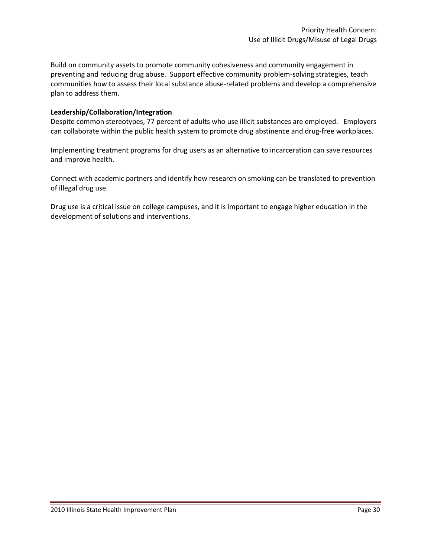Build on community assets to promote community cohesiveness and community engagement in preventing and reducing drug abuse. Support effective community problem-solving strategies, teach communities how to assess their local substance abuse-related problems and develop a comprehensive plan to address them.

### **Leadership/Collaboration/Integration**

Despite common stereotypes, 77 percent of adults who use illicit substances are employed. Employers can collaborate within the public health system to promote drug abstinence and drug-free workplaces.

Implementing treatment programs for drug users as an alternative to incarceration can save resources and improve health.

Connect with academic partners and identify how research on smoking can be translated to prevention of illegal drug use.

Drug use is a critical issue on college campuses, and it is important to engage higher education in the development of solutions and interventions.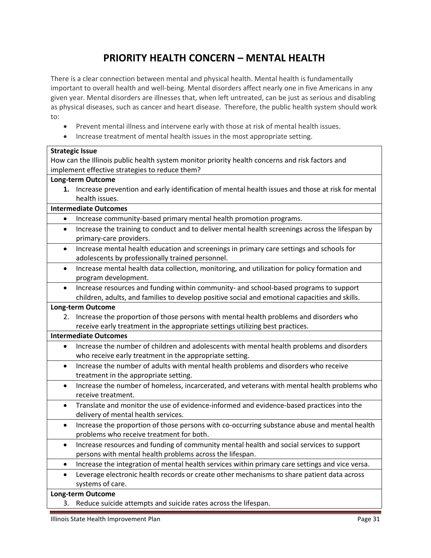# **PRIORITY HEALTH CONCERN – MENTAL HEALTH**

There is a clear connection between mental and physical health. Mental health is fundamentally important to overall health and well-being. Mental disorders affect nearly one in five Americans in any given year. Mental disorders are illnesses that, when left untreated, can be just as serious and disabling as physical diseases, such as cancer and heart disease. Therefore, the public health system should work to:

- Prevent mental illness and intervene early with those at risk of mental health issues.
- Increase treatment of mental health issues in the most appropriate setting.

### **Strategic Issue** How can the Illinois public health system monitor priority health concerns and risk factors and implement effective strategies to reduce them? **Long-term Outcome 1.** Increase prevention and early identification of mental health issues and those at risk for mental health issues. **Intermediate Outcomes** Increase community-based primary mental health promotion programs. Increase the training to conduct and to deliver mental health screenings across the lifespan by primary-care providers. Increase mental health education and screenings in primary care settings and schools for adolescents by professionally trained personnel. • Increase mental health data collection, monitoring, and utilization for policy formation and program development. Increase resources and funding within community- and school-based programs to support children, adults, and families to develop positive social and emotional capacities and skills. **Long-term Outcome** 2. Increase the proportion of those persons with mental health problems and disorders who receive early treatment in the appropriate settings utilizing best practices. **Intermediate Outcomes** Increase the number of children and adolescents with mental health problems and disorders who receive early treatment in the appropriate setting. • Increase the number of adults with mental health problems and disorders who receive treatment in the appropriate setting. • Increase the number of homeless, incarcerated, and veterans with mental health problems who receive treatment. Translate and monitor the use of evidence-informed and evidence-based practices into the delivery of mental health services. • Increase the proportion of those persons with co-occurring substance abuse and mental health problems who receive treatment for both. Increase resources and funding of community mental health and social services to support persons with mental health problems across the lifespan. Increase the integration of mental health services within primary care settings and vice versa. Leverage electronic health records or create other mechanisms to share patient data across systems of care. **Long-term Outcome** 3. Reduce suicide attempts and suicide rates across the lifespan.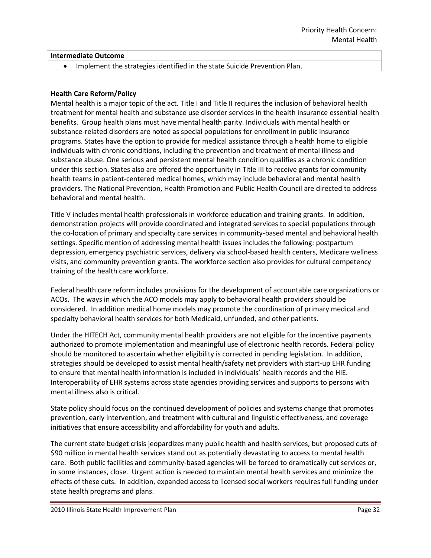### **Intermediate Outcome**

Implement the strategies identified in the state Suicide Prevention Plan.

### **Health Care Reform/Policy**

Mental health is a major topic of the act. Title I and Title II requires the inclusion of behavioral health treatment for mental health and substance use disorder services in the health insurance essential health benefits. Group health plans must have mental health parity. Individuals with mental health or substance-related disorders are noted as special populations for enrollment in public insurance programs. States have the option to provide for medical assistance through a health home to eligible individuals with chronic conditions, including the prevention and treatment of mental illness and substance abuse. One serious and persistent mental health condition qualifies as a chronic condition under this section. States also are offered the opportunity in Title III to receive grants for community health teams in patient-centered medical homes, which may include behavioral and mental health providers. The National Prevention, Health Promotion and Public Health Council are directed to address behavioral and mental health.

Title V includes mental health professionals in workforce education and training grants. In addition, demonstration projects will provide coordinated and integrated services to special populations through the co-location of primary and specialty care services in community-based mental and behavioral health settings. Specific mention of addressing mental health issues includes the following: postpartum depression, emergency psychiatric services, delivery via school-based health centers, Medicare wellness visits, and community prevention grants. The workforce section also provides for cultural competency training of the health care workforce.

Federal health care reform includes provisions for the development of accountable care organizations or ACOs. The ways in which the ACO models may apply to behavioral health providers should be considered. In addition medical home models may promote the coordination of primary medical and specialty behavioral health services for both Medicaid, unfunded, and other patients.

Under the HITECH Act, community mental health providers are not eligible for the incentive payments authorized to promote implementation and meaningful use of electronic health records. Federal policy should be monitored to ascertain whether eligibility is corrected in pending legislation. In addition, strategies should be developed to assist mental health/safety net providers with start-up EHR funding to ensure that mental health information is included in individuals' health records and the HIE. Interoperability of EHR systems across state agencies providing services and supports to persons with mental illness also is critical.

State policy should focus on the continued development of policies and systems change that promotes prevention, early intervention, and treatment with cultural and linguistic effectiveness, and coverage initiatives that ensure accessibility and affordability for youth and adults.

The current state budget crisis jeopardizes many public health and health services, but proposed cuts of \$90 million in mental health services stand out as potentially devastating to access to mental health care. Both public facilities and community-based agencies will be forced to dramatically cut services or, in some instances, close. Urgent action is needed to maintain mental health services and minimize the effects of these cuts. In addition, expanded access to licensed social workers requires full funding under state health programs and plans.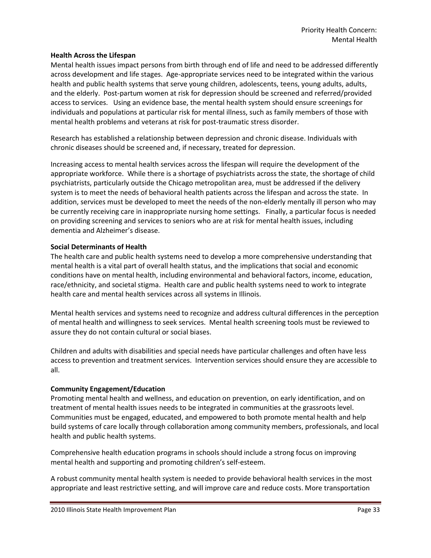### **Health Across the Lifespan**

Mental health issues impact persons from birth through end of life and need to be addressed differently across development and life stages. Age-appropriate services need to be integrated within the various health and public health systems that serve young children, adolescents, teens, young adults, adults, and the elderly. Post-partum women at risk for depression should be screened and referred/provided access to services. Using an evidence base, the mental health system should ensure screenings for individuals and populations at particular risk for mental illness, such as family members of those with mental health problems and veterans at risk for post-traumatic stress disorder.

Research has established a relationship between depression and chronic disease. Individuals with chronic diseases should be screened and, if necessary, treated for depression.

Increasing access to mental health services across the lifespan will require the development of the appropriate workforce. While there is a shortage of psychiatrists across the state, the shortage of child psychiatrists, particularly outside the Chicago metropolitan area, must be addressed if the delivery system is to meet the needs of behavioral health patients across the lifespan and across the state. In addition, services must be developed to meet the needs of the non-elderly mentally ill person who may be currently receiving care in inappropriate nursing home settings. Finally, a particular focus is needed on providing screening and services to seniors who are at risk for mental health issues, including dementia and Alzheimer's disease.

### **Social Determinants of Health**

The health care and public health systems need to develop a more comprehensive understanding that mental health is a vital part of overall health status, and the implications that social and economic conditions have on mental health, including environmental and behavioral factors, income, education, race/ethnicity, and societal stigma. Health care and public health systems need to work to integrate health care and mental health services across all systems in Illinois.

Mental health services and systems need to recognize and address cultural differences in the perception of mental health and willingness to seek services. Mental health screening tools must be reviewed to assure they do not contain cultural or social biases.

Children and adults with disabilities and special needs have particular challenges and often have less access to prevention and treatment services. Intervention services should ensure they are accessible to all.

### **Community Engagement/Education**

Promoting mental health and wellness, and education on prevention, on early identification, and on treatment of mental health issues needs to be integrated in communities at the grassroots level. Communities must be engaged, educated, and empowered to both promote mental health and help build systems of care locally through collaboration among community members, professionals, and local health and public health systems.

Comprehensive health education programs in schools should include a strong focus on improving mental health and supporting and promoting children's self-esteem.

A robust community mental health system is needed to provide behavioral health services in the most appropriate and least restrictive setting, and will improve care and reduce costs. More transportation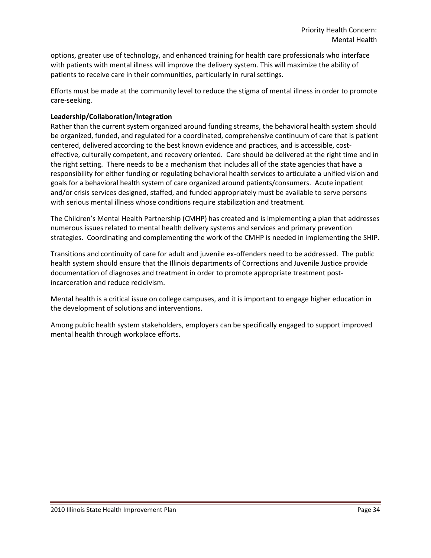options, greater use of technology, and enhanced training for health care professionals who interface with patients with mental illness will improve the delivery system. This will maximize the ability of patients to receive care in their communities, particularly in rural settings.

Efforts must be made at the community level to reduce the stigma of mental illness in order to promote care-seeking.

### **Leadership/Collaboration/Integration**

Rather than the current system organized around funding streams, the behavioral health system should be organized, funded, and regulated for a coordinated, comprehensive continuum of care that is patient centered, delivered according to the best known evidence and practices, and is accessible, costeffective, culturally competent, and recovery oriented. Care should be delivered at the right time and in the right setting. There needs to be a mechanism that includes all of the state agencies that have a responsibility for either funding or regulating behavioral health services to articulate a unified vision and goals for a behavioral health system of care organized around patients/consumers. Acute inpatient and/or crisis services designed, staffed, and funded appropriately must be available to serve persons with serious mental illness whose conditions require stabilization and treatment.

The Children's Mental Health Partnership (CMHP) has created and is implementing a plan that addresses numerous issues related to mental health delivery systems and services and primary prevention strategies. Coordinating and complementing the work of the CMHP is needed in implementing the SHIP.

Transitions and continuity of care for adult and juvenile ex-offenders need to be addressed. The public health system should ensure that the Illinois departments of Corrections and Juvenile Justice provide documentation of diagnoses and treatment in order to promote appropriate treatment postincarceration and reduce recidivism.

Mental health is a critical issue on college campuses, and it is important to engage higher education in the development of solutions and interventions.

Among public health system stakeholders, employers can be specifically engaged to support improved mental health through workplace efforts.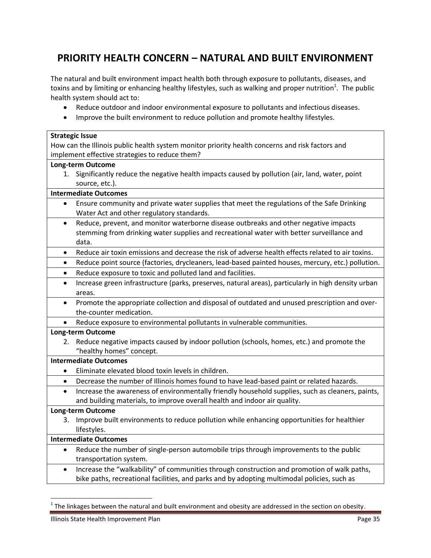# **PRIORITY HEALTH CONCERN – NATURAL AND BUILT ENVIRONMENT**

The natural and built environment impact health both through exposure to pollutants, diseases, and toxins and by limiting or enhancing healthy lifestyles, such as walking and proper nutrition<sup>1</sup>. The public health system should act to:

- Reduce outdoor and indoor environmental exposure to pollutants and infectious diseases.
- Improve the built environment to reduce pollution and promote healthy lifestyles.

| <b>Strategic Issue</b>                                                                                           |                                                                                                   |  |  |  |
|------------------------------------------------------------------------------------------------------------------|---------------------------------------------------------------------------------------------------|--|--|--|
| How can the Illinois public health system monitor priority health concerns and risk factors and                  |                                                                                                   |  |  |  |
| implement effective strategies to reduce them?                                                                   |                                                                                                   |  |  |  |
| <b>Long-term Outcome</b>                                                                                         |                                                                                                   |  |  |  |
|                                                                                                                  | 1. Significantly reduce the negative health impacts caused by pollution (air, land, water, point  |  |  |  |
| source, etc.).                                                                                                   |                                                                                                   |  |  |  |
| <b>Intermediate Outcomes</b>                                                                                     |                                                                                                   |  |  |  |
| $\bullet$                                                                                                        | Ensure community and private water supplies that meet the regulations of the Safe Drinking        |  |  |  |
| Water Act and other regulatory standards.                                                                        |                                                                                                   |  |  |  |
| Reduce, prevent, and monitor waterborne disease outbreaks and other negative impacts<br>$\bullet$                |                                                                                                   |  |  |  |
|                                                                                                                  | stemming from drinking water supplies and recreational water with better surveillance and         |  |  |  |
| data.                                                                                                            |                                                                                                   |  |  |  |
| $\bullet$                                                                                                        | Reduce air toxin emissions and decrease the risk of adverse health effects related to air toxins. |  |  |  |
| Reduce point source (factories, drycleaners, lead-based painted houses, mercury, etc.) pollution.<br>$\bullet$   |                                                                                                   |  |  |  |
| Reduce exposure to toxic and polluted land and facilities.<br>$\bullet$                                          |                                                                                                   |  |  |  |
| Increase green infrastructure (parks, preserves, natural areas), particularly in high density urban<br>$\bullet$ |                                                                                                   |  |  |  |
| areas.                                                                                                           |                                                                                                   |  |  |  |
| Promote the appropriate collection and disposal of outdated and unused prescription and over-<br>$\bullet$       |                                                                                                   |  |  |  |
| the-counter medication.                                                                                          |                                                                                                   |  |  |  |
| $\bullet$                                                                                                        | Reduce exposure to environmental pollutants in vulnerable communities.                            |  |  |  |
| <b>Long-term Outcome</b>                                                                                         |                                                                                                   |  |  |  |
| 2.                                                                                                               | Reduce negative impacts caused by indoor pollution (schools, homes, etc.) and promote the         |  |  |  |
| "healthy homes" concept.                                                                                         |                                                                                                   |  |  |  |
| <b>Intermediate Outcomes</b>                                                                                     |                                                                                                   |  |  |  |
| Eliminate elevated blood toxin levels in children.<br>$\bullet$                                                  |                                                                                                   |  |  |  |
| $\bullet$                                                                                                        | Decrease the number of Illinois homes found to have lead-based paint or related hazards.          |  |  |  |
| $\bullet$                                                                                                        | Increase the awareness of environmentally friendly household supplies, such as cleaners, paints,  |  |  |  |
|                                                                                                                  | and building materials, to improve overall health and indoor air quality.                         |  |  |  |
| <b>Long-term Outcome</b>                                                                                         |                                                                                                   |  |  |  |
| 3.                                                                                                               | Improve built environments to reduce pollution while enhancing opportunities for healthier        |  |  |  |
| lifestyles.                                                                                                      |                                                                                                   |  |  |  |
| <b>Intermediate Outcomes</b>                                                                                     |                                                                                                   |  |  |  |
| $\bullet$                                                                                                        | Reduce the number of single-person automobile trips through improvements to the public            |  |  |  |
| transportation system.                                                                                           |                                                                                                   |  |  |  |
| Increase the "walkability" of communities through construction and promotion of walk paths,<br>$\bullet$         |                                                                                                   |  |  |  |
|                                                                                                                  | bike paths, recreational facilities, and parks and by adopting multimodal policies, such as       |  |  |  |

 1 The linkages between the natural and built environment and obesity are addressed in the section on obesity.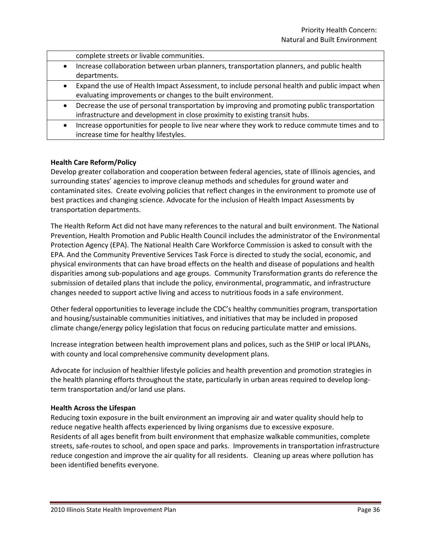complete streets or livable communities.

- Increase collaboration between urban planners, transportation planners, and public health departments.
- Expand the use of Health Impact Assessment, to include personal health and public impact when evaluating improvements or changes to the built environment.
- Decrease the use of personal transportation by improving and promoting public transportation infrastructure and development in close proximity to existing transit hubs.
- Increase opportunities for people to live near where they work to reduce commute times and to increase time for healthy lifestyles.

### **Health Care Reform/Policy**

Develop greater collaboration and cooperation between federal agencies, state of Illinois agencies, and surrounding states' agencies to improve cleanup methods and schedules for ground water and contaminated sites. Create evolving policies that reflect changes in the environment to promote use of best practices and changing science. Advocate for the inclusion of Health Impact Assessments by transportation departments.

The Health Reform Act did not have many references to the natural and built environment. The National Prevention, Health Promotion and Public Health Council includes the administrator of the Environmental Protection Agency (EPA). The National Health Care Workforce Commission is asked to consult with the EPA. And the Community Preventive Services Task Force is directed to study the social, economic, and physical environments that can have broad effects on the health and disease of populations and health disparities among sub-populations and age groups. Community Transformation grants do reference the submission of detailed plans that include the policy, environmental, programmatic, and infrastructure changes needed to support active living and access to nutritious foods in a safe environment.

Other federal opportunities to leverage include the CDC's healthy communities program, transportation and housing/sustainable communities initiatives, and initiatives that may be included in proposed climate change/energy policy legislation that focus on reducing particulate matter and emissions.

Increase integration between health improvement plans and polices, such as the SHIP or local IPLANs, with county and local comprehensive community development plans.

Advocate for inclusion of healthier lifestyle policies and health prevention and promotion strategies in the health planning efforts throughout the state, particularly in urban areas required to develop longterm transportation and/or land use plans.

#### **Health Across the Lifespan**

Reducing toxin exposure in the built environment an improving air and water quality should help to reduce negative health affects experienced by living organisms due to excessive exposure. Residents of all ages benefit from built environment that emphasize walkable communities, complete streets, safe-routes to school, and open space and parks. Improvements in transportation infrastructure reduce congestion and improve the air quality for all residents. Cleaning up areas where pollution has been identified benefits everyone.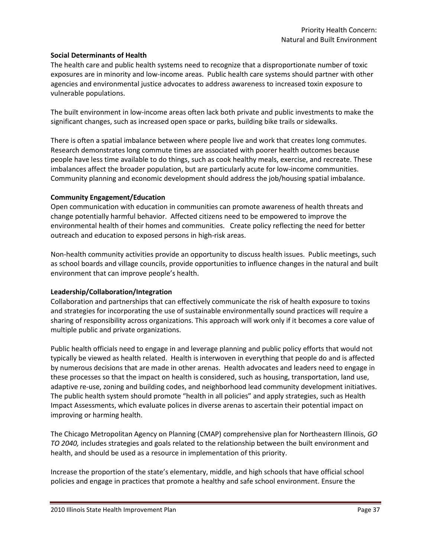### **Social Determinants of Health**

The health care and public health systems need to recognize that a disproportionate number of toxic exposures are in minority and low-income areas. Public health care systems should partner with other agencies and environmental justice advocates to address awareness to increased toxin exposure to vulnerable populations.

The built environment in low-income areas often lack both private and public investments to make the significant changes, such as increased open space or parks, building bike trails or sidewalks.

There is often a spatial imbalance between where people live and work that creates long commutes. Research demonstrates long commute times are associated with poorer health outcomes because people have less time available to do things, such as cook healthy meals, exercise, and recreate. These imbalances affect the broader population, but are particularly acute for low-income communities. Community planning and economic development should address the job/housing spatial imbalance.

#### **Community Engagement/Education**

Open communication with education in communities can promote awareness of health threats and change potentially harmful behavior. Affected citizens need to be empowered to improve the environmental health of their homes and communities. Create policy reflecting the need for better outreach and education to exposed persons in high-risk areas.

Non-health community activities provide an opportunity to discuss health issues. Public meetings, such as school boards and village councils, provide opportunities to influence changes in the natural and built environment that can improve people's health.

#### **Leadership/Collaboration/Integration**

Collaboration and partnerships that can effectively communicate the risk of health exposure to toxins and strategies for incorporating the use of sustainable environmentally sound practices will require a sharing of responsibility across organizations. This approach will work only if it becomes a core value of multiple public and private organizations.

Public health officials need to engage in and leverage planning and public policy efforts that would not typically be viewed as health related. Health is interwoven in everything that people do and is affected by numerous decisions that are made in other arenas. Health advocates and leaders need to engage in these processes so that the impact on health is considered, such as housing, transportation, land use, adaptive re-use, zoning and building codes, and neighborhood lead community development initiatives. The public health system should promote "health in all policies" and apply strategies, such as Health Impact Assessments, which evaluate polices in diverse arenas to ascertain their potential impact on improving or harming health.

The Chicago Metropolitan Agency on Planning (CMAP) comprehensive plan for Northeastern Illinois, *GO TO 2040,* includes strategies and goals related to the relationship between the built environment and health, and should be used as a resource in implementation of this priority.

Increase the proportion of the state's elementary, middle, and high schools that have official school policies and engage in practices that promote a healthy and safe school environment. Ensure the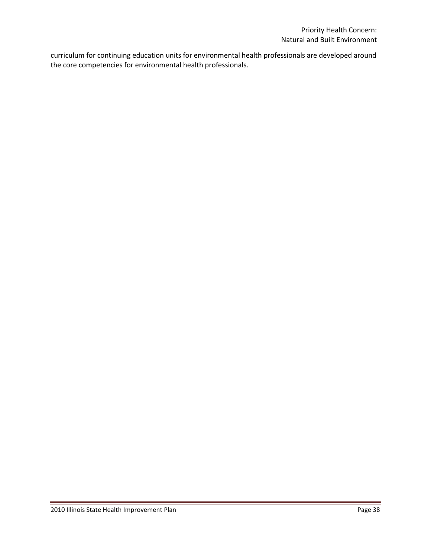curriculum for continuing education units for environmental health professionals are developed around the core competencies for environmental health professionals.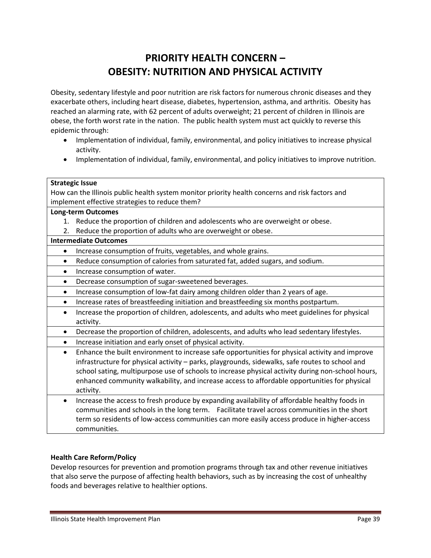# **PRIORITY HEALTH CONCERN – OBESITY: NUTRITION AND PHYSICAL ACTIVITY**

Obesity, sedentary lifestyle and poor nutrition are risk factors for numerous chronic diseases and they exacerbate others, including heart disease, diabetes, hypertension, asthma, and arthritis. Obesity has reached an alarming rate, with 62 percent of adults overweight; 21 percent of children in Illinois are obese, the forth worst rate in the nation. The public health system must act quickly to reverse this epidemic through:

- Implementation of individual, family, environmental, and policy initiatives to increase physical activity.
- Implementation of individual, family, environmental, and policy initiatives to improve nutrition.

### **Strategic Issue**

How can the Illinois public health system monitor priority health concerns and risk factors and implement effective strategies to reduce them?

### **Long-term Outcomes**

- 1. Reduce the proportion of children and adolescents who are overweight or obese.
- 2. Reduce the proportion of adults who are overweight or obese.

### **Intermediate Outcomes**

- Increase consumption of fruits, vegetables, and whole grains.
- Reduce consumption of calories from saturated fat, added sugars, and sodium.
- Increase consumption of water.
- Decrease consumption of sugar-sweetened beverages.
- Increase consumption of low-fat dairy among children older than 2 years of age.
- Increase rates of breastfeeding initiation and breastfeeding six months postpartum.
- Increase the proportion of children, adolescents, and adults who meet guidelines for physical activity.
- Decrease the proportion of children, adolescents, and adults who lead sedentary lifestyles.
- Increase initiation and early onset of physical activity.
- Enhance the built environment to increase safe opportunities for physical activity and improve infrastructure for physical activity – parks, playgrounds, sidewalks, safe routes to school and school sating, multipurpose use of schools to increase physical activity during non-school hours, enhanced community walkability, and increase access to affordable opportunities for physical activity.
- Increase the access to fresh produce by expanding availability of affordable healthy foods in communities and schools in the long term. Facilitate travel across communities in the short term so residents of low-access communities can more easily access produce in higher-access communities.

### **Health Care Reform/Policy**

Develop resources for prevention and promotion programs through tax and other revenue initiatives that also serve the purpose of affecting health behaviors, such as by increasing the cost of unhealthy foods and beverages relative to healthier options.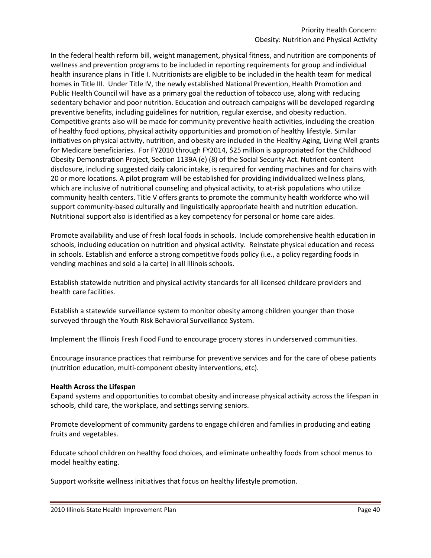In the federal health reform bill, weight management, physical fitness, and nutrition are components of wellness and prevention programs to be included in reporting requirements for group and individual health insurance plans in Title I. Nutritionists are eligible to be included in the health team for medical homes in Title III. Under Title IV, the newly established National Prevention, Health Promotion and Public Health Council will have as a primary goal the reduction of tobacco use, along with reducing sedentary behavior and poor nutrition. Education and outreach campaigns will be developed regarding preventive benefits, including guidelines for nutrition, regular exercise, and obesity reduction. Competitive grants also will be made for community preventive health activities, including the creation of healthy food options, physical activity opportunities and promotion of healthy lifestyle. Similar initiatives on physical activity, nutrition, and obesity are included in the Healthy Aging, Living Well grants for Medicare beneficiaries. For FY2010 through FY2014, \$25 million is appropriated for the Childhood Obesity Demonstration Project, Section 1139A (e) (8) of the Social Security Act. Nutrient content disclosure, including suggested daily caloric intake, is required for vending machines and for chains with 20 or more locations. A pilot program will be established for providing individualized wellness plans, which are inclusive of nutritional counseling and physical activity, to at-risk populations who utilize community health centers. Title V offers grants to promote the community health workforce who will support community-based culturally and linguistically appropriate health and nutrition education. Nutritional support also is identified as a key competency for personal or home care aides.

Promote availability and use of fresh local foods in schools. Include comprehensive health education in schools, including education on nutrition and physical activity. Reinstate physical education and recess in schools. Establish and enforce a strong competitive foods policy (i.e., a policy regarding foods in vending machines and sold a la carte) in all Illinois schools.

Establish statewide nutrition and physical activity standards for all licensed childcare providers and health care facilities.

Establish a statewide surveillance system to monitor obesity among children younger than those surveyed through the Youth Risk Behavioral Surveillance System.

Implement the Illinois Fresh Food Fund to encourage grocery stores in underserved communities.

Encourage insurance practices that reimburse for preventive services and for the care of obese patients (nutrition education, multi-component obesity interventions, etc).

#### **Health Across the Lifespan**

Expand systems and opportunities to combat obesity and increase physical activity across the lifespan in schools, child care, the workplace, and settings serving seniors.

Promote development of community gardens to engage children and families in producing and eating fruits and vegetables.

Educate school children on healthy food choices, and eliminate unhealthy foods from school menus to model healthy eating.

Support worksite wellness initiatives that focus on healthy lifestyle promotion.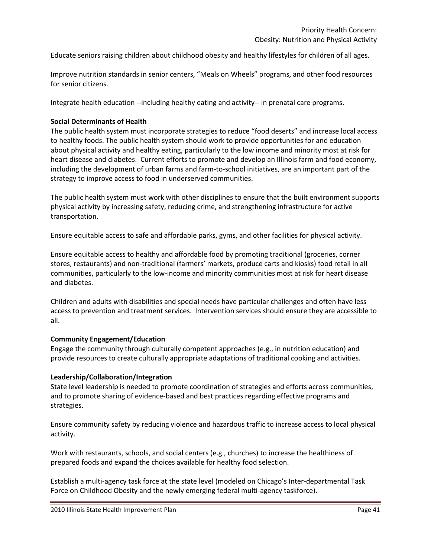Educate seniors raising children about childhood obesity and healthy lifestyles for children of all ages.

Improve nutrition standards in senior centers, "Meals on Wheels" programs, and other food resources for senior citizens.

Integrate health education --including healthy eating and activity-- in prenatal care programs.

### **Social Determinants of Health**

The public health system must incorporate strategies to reduce "food deserts" and increase local access to healthy foods. The public health system should work to provide opportunities for and education about physical activity and healthy eating, particularly to the low income and minority most at risk for heart disease and diabetes. Current efforts to promote and develop an Illinois farm and food economy, including the development of urban farms and farm-to-school initiatives, are an important part of the strategy to improve access to food in underserved communities.

The public health system must work with other disciplines to ensure that the built environment supports physical activity by increasing safety, reducing crime, and strengthening infrastructure for active transportation.

Ensure equitable access to safe and affordable parks, gyms, and other facilities for physical activity.

Ensure equitable access to healthy and affordable food by promoting traditional (groceries, corner stores, restaurants) and non-traditional (farmers' markets, produce carts and kiosks) food retail in all communities, particularly to the low-income and minority communities most at risk for heart disease and diabetes.

Children and adults with disabilities and special needs have particular challenges and often have less access to prevention and treatment services. Intervention services should ensure they are accessible to all.

#### **Community Engagement/Education**

Engage the community through culturally competent approaches (e.g., in nutrition education) and provide resources to create culturally appropriate adaptations of traditional cooking and activities.

#### **Leadership/Collaboration/Integration**

State level leadership is needed to promote coordination of strategies and efforts across communities, and to promote sharing of evidence-based and best practices regarding effective programs and strategies.

Ensure community safety by reducing violence and hazardous traffic to increase access to local physical activity.

Work with restaurants, schools, and social centers (e.g., churches) to increase the healthiness of prepared foods and expand the choices available for healthy food selection.

Establish a multi-agency task force at the state level (modeled on Chicago's Inter-departmental Task Force on Childhood Obesity and the newly emerging federal multi-agency taskforce).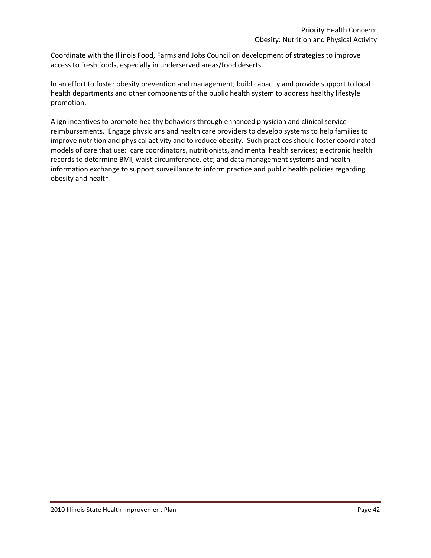Coordinate with the Illinois Food, Farms and Jobs Council on development of strategies to improve access to fresh foods, especially in underserved areas/food deserts.

In an effort to foster obesity prevention and management, build capacity and provide support to local health departments and other components of the public health system to address healthy lifestyle promotion.

Align incentives to promote healthy behaviors through enhanced physician and clinical service reimbursements. Engage physicians and health care providers to develop systems to help families to improve nutrition and physical activity and to reduce obesity. Such practices should foster coordinated models of care that use: care coordinators, nutritionists, and mental health services; electronic health records to determine BMI, waist circumference, etc; and data management systems and health information exchange to support surveillance to inform practice and public health policies regarding obesity and health.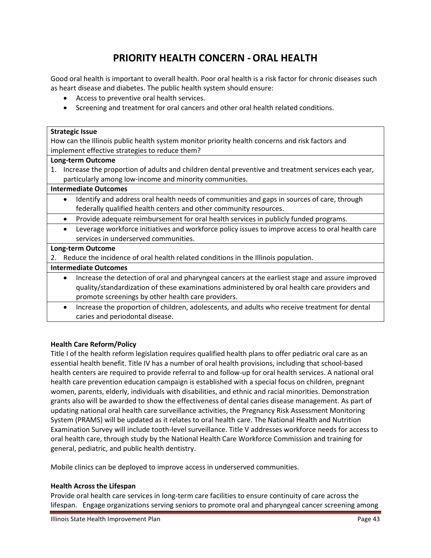# **PRIORITY HEALTH CONCERN -ORAL HEALTH**

Good oral health is important to overall health. Poor oral health is a risk factor for chronic diseases such as heart disease and diabetes. The public health system should ensure:

- Access to preventive oral health services.
- Screening and treatment for oral cancers and other oral health related conditions.

#### **Strategic Issue**

How can the Illinois public health system monitor priority health concerns and risk factors and implement effective strategies to reduce them?

#### **Long-term Outcome**

1. Increase the proportion of adults and children dental preventive and treatment services each year, particularly among low-income and minority communities.

### **Intermediate Outcomes**

- Identify and address oral health needs of communities and gaps in sources of care, through federally qualified health centers and other community resources.
- Provide adequate reimbursement for oral health services in publicly funded programs.
- Leverage workforce initiatives and workforce policy issues to improve access to oral health care services in underserved communities.

#### **Long-term Outcome**

2. Reduce the incidence of oral health related conditions in the Illinois population.

### **Intermediate Outcomes**

- Increase the detection of oral and pharyngeal cancers at the earliest stage and assure improved quality/standardization of these examinations administered by oral health care providers and promote screenings by other health care providers.
- Increase the proportion of children, adolescents, and adults who receive treatment for dental caries and periodontal disease.

### **Health Care Reform/Policy**

Title I of the health reform legislation requires qualified health plans to offer pediatric oral care as an essential health benefit. Title IV has a number of oral health provisions, including that school-based health centers are required to provide referral to and follow-up for oral health services. A national oral health care prevention education campaign is established with a special focus on children, pregnant women, parents, elderly, individuals with disabilities, and ethnic and racial minorities. Demonstration grants also will be awarded to show the effectiveness of dental caries disease management. As part of updating national oral health care surveillance activities, the Pregnancy Risk Assessment Monitoring System (PRAMS) will be updated as it relates to oral health care. The National Health and Nutrition Examination Survey will include tooth-level surveillance. Title V addresses workforce needs for access to oral health care, through study by the National Health Care Workforce Commission and training for general, pediatric, and public health dentistry.

Mobile clinics can be deployed to improve access in underserved communities.

### **Health Across the Lifespan**

Provide oral health care services in long-term care facilities to ensure continuity of care across the lifespan. Engage organizations serving seniors to promote oral and pharyngeal cancer screening among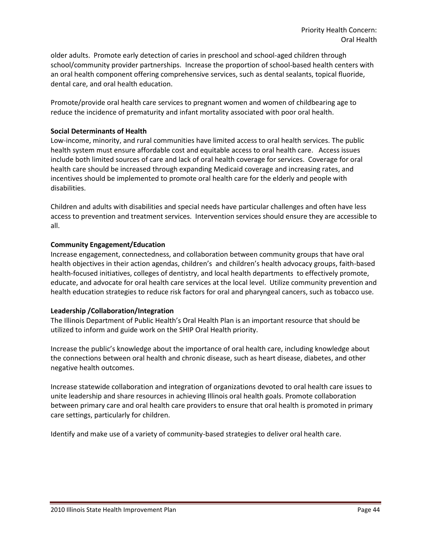older adults. Promote early detection of caries in preschool and school-aged children through school/community provider partnerships. Increase the proportion of school-based health centers with an oral health component offering comprehensive services, such as dental sealants, topical fluoride, dental care, and oral health education.

Promote/provide oral health care services to pregnant women and women of childbearing age to reduce the incidence of prematurity and infant mortality associated with poor oral health.

### **Social Determinants of Health**

Low-income, minority, and rural communities have limited access to oral health services. The public health system must ensure affordable cost and equitable access to oral health care. Access issues include both limited sources of care and lack of oral health coverage for services. Coverage for oral health care should be increased through expanding Medicaid coverage and increasing rates, and incentives should be implemented to promote oral health care for the elderly and people with disabilities.

Children and adults with disabilities and special needs have particular challenges and often have less access to prevention and treatment services. Intervention services should ensure they are accessible to all.

### **Community Engagement/Education**

Increase engagement, connectedness, and collaboration between community groups that have oral health objectives in their action agendas, children's and children's health advocacy groups, faith-based health-focused initiatives, colleges of dentistry, and local health departments to effectively promote, educate, and advocate for oral health care services at the local level. Utilize community prevention and health education strategies to reduce risk factors for oral and pharyngeal cancers, such as tobacco use.

### **Leadership /Collaboration/Integration**

The Illinois Department of Public Health's Oral Health Plan is an important resource that should be utilized to inform and guide work on the SHIP Oral Health priority.

Increase the public's knowledge about the importance of oral health care, including knowledge about the connections between oral health and chronic disease, such as heart disease, diabetes, and other negative health outcomes.

Increase statewide collaboration and integration of organizations devoted to oral health care issues to unite leadership and share resources in achieving Illinois oral health goals. Promote collaboration between primary care and oral health care providers to ensure that oral health is promoted in primary care settings, particularly for children.

Identify and make use of a variety of community-based strategies to deliver oral health care.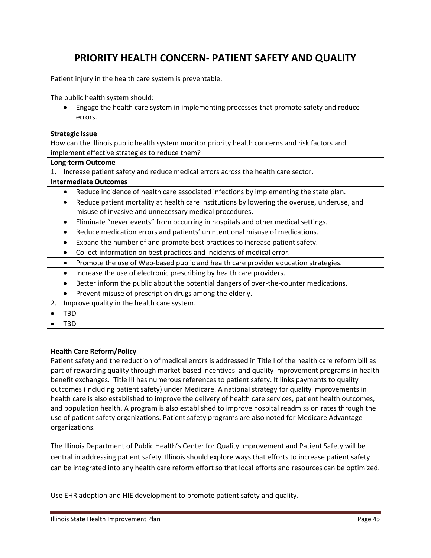# **PRIORITY HEALTH CONCERN- PATIENT SAFETY AND QUALITY**

Patient injury in the health care system is preventable.

The public health system should:

 Engage the health care system in implementing processes that promote safety and reduce errors.

| <b>Strategic Issue</b>                                                                                   |  |  |  |  |
|----------------------------------------------------------------------------------------------------------|--|--|--|--|
| How can the Illinois public health system monitor priority health concerns and risk factors and          |  |  |  |  |
| implement effective strategies to reduce them?                                                           |  |  |  |  |
| <b>Long-term Outcome</b>                                                                                 |  |  |  |  |
| Increase patient safety and reduce medical errors across the health care sector.<br>1.                   |  |  |  |  |
| <b>Intermediate Outcomes</b>                                                                             |  |  |  |  |
| Reduce incidence of health care associated infections by implementing the state plan.                    |  |  |  |  |
| Reduce patient mortality at health care institutions by lowering the overuse, underuse, and<br>$\bullet$ |  |  |  |  |
| misuse of invasive and unnecessary medical procedures.                                                   |  |  |  |  |
| Eliminate "never events" from occurring in hospitals and other medical settings.<br>$\bullet$            |  |  |  |  |
| Reduce medication errors and patients' unintentional misuse of medications.<br>$\bullet$                 |  |  |  |  |
| Expand the number of and promote best practices to increase patient safety.                              |  |  |  |  |
| Collect information on best practices and incidents of medical error.<br>$\bullet$                       |  |  |  |  |
| Promote the use of Web-based public and health care provider education strategies.<br>$\bullet$          |  |  |  |  |
| Increase the use of electronic prescribing by health care providers.                                     |  |  |  |  |
| Better inform the public about the potential dangers of over-the-counter medications.                    |  |  |  |  |
| Prevent misuse of prescription drugs among the elderly.                                                  |  |  |  |  |
| Improve quality in the health care system.<br>2.                                                         |  |  |  |  |
| <b>TBD</b>                                                                                               |  |  |  |  |
| TBD                                                                                                      |  |  |  |  |
|                                                                                                          |  |  |  |  |

### **Health Care Reform/Policy**

Patient safety and the reduction of medical errors is addressed in Title I of the health care reform bill as part of rewarding quality through market-based incentives and quality improvement programs in health benefit exchanges. Title III has numerous references to patient safety. It links payments to quality outcomes (including patient safety) under Medicare. A national strategy for quality improvements in health care is also established to improve the delivery of health care services, patient health outcomes, and population health. A program is also established to improve hospital readmission rates through the use of patient safety organizations. Patient safety programs are also noted for Medicare Advantage organizations.

The Illinois Department of Public Health's Center for Quality Improvement and Patient Safety will be central in addressing patient safety. Illinois should explore ways that efforts to increase patient safety can be integrated into any health care reform effort so that local efforts and resources can be optimized.

Use EHR adoption and HIE development to promote patient safety and quality.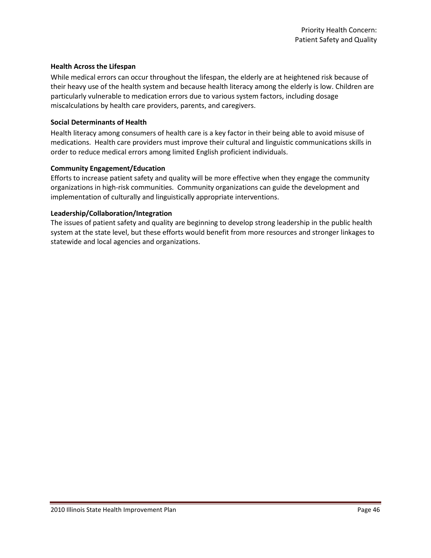### **Health Across the Lifespan**

While medical errors can occur throughout the lifespan, the elderly are at heightened risk because of their heavy use of the health system and because health literacy among the elderly is low. Children are particularly vulnerable to medication errors due to various system factors, including dosage miscalculations by health care providers, parents, and caregivers.

### **Social Determinants of Health**

Health literacy among consumers of health care is a key factor in their being able to avoid misuse of medications. Health care providers must improve their cultural and linguistic communications skills in order to reduce medical errors among limited English proficient individuals.

### **Community Engagement/Education**

Efforts to increase patient safety and quality will be more effective when they engage the community organizations in high-risk communities. Community organizations can guide the development and implementation of culturally and linguistically appropriate interventions.

### **Leadership/Collaboration/Integration**

The issues of patient safety and quality are beginning to develop strong leadership in the public health system at the state level, but these efforts would benefit from more resources and stronger linkages to statewide and local agencies and organizations.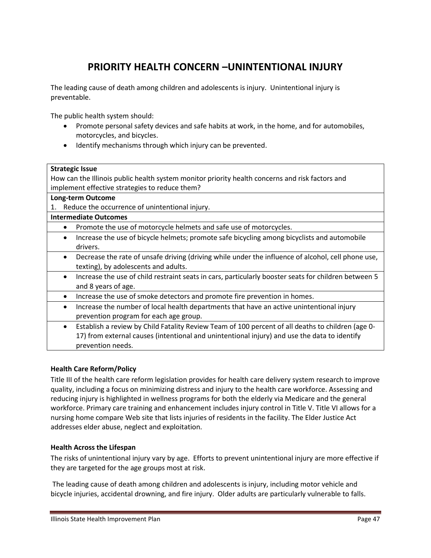# **PRIORITY HEALTH CONCERN –UNINTENTIONAL INJURY**

The leading cause of death among children and adolescents is injury. Unintentional injury is preventable.

The public health system should:

- Promote personal safety devices and safe habits at work, in the home, and for automobiles, motorcycles, and bicycles.
- Identify mechanisms through which injury can be prevented.

### **Strategic Issue**

How can the Illinois public health system monitor priority health concerns and risk factors and implement effective strategies to reduce them?

### **Long-term Outcome**

1. Reduce the occurrence of unintentional injury.

### **Intermediate Outcomes**

- Promote the use of motorcycle helmets and safe use of motorcycles.
- Increase the use of bicycle helmets; promote safe bicycling among bicyclists and automobile drivers.
- Decrease the rate of unsafe driving (driving while under the influence of alcohol, cell phone use, texting), by adolescents and adults.
- Increase the use of child restraint seats in cars, particularly booster seats for children between 5 and 8 years of age.
- Increase the use of smoke detectors and promote fire prevention in homes.
- Increase the number of local health departments that have an active unintentional injury prevention program for each age group.
- Establish a review by Child Fatality Review Team of 100 percent of all deaths to children (age 0- 17) from external causes (intentional and unintentional injury) and use the data to identify prevention needs.

### **Health Care Reform/Policy**

Title III of the health care reform legislation provides for health care delivery system research to improve quality, including a focus on minimizing distress and injury to the health care workforce. Assessing and reducing injury is highlighted in wellness programs for both the elderly via Medicare and the general workforce. Primary care training and enhancement includes injury control in Title V. Title VI allows for a nursing home compare Web site that lists injuries of residents in the facility. The Elder Justice Act addresses elder abuse, neglect and exploitation.

### **Health Across the Lifespan**

The risks of unintentional injury vary by age. Efforts to prevent unintentional injury are more effective if they are targeted for the age groups most at risk.

The leading cause of death among children and adolescents is injury, including motor vehicle and bicycle injuries, accidental drowning, and fire injury. Older adults are particularly vulnerable to falls.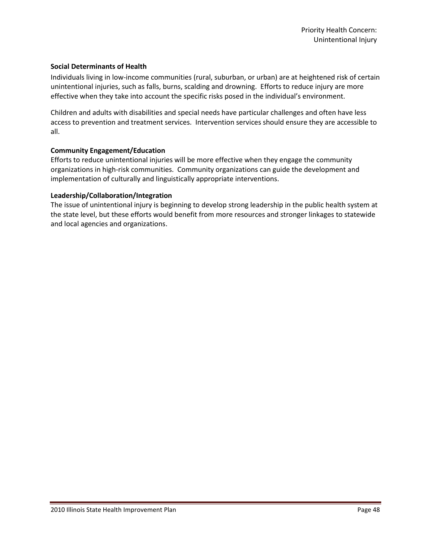### **Social Determinants of Health**

Individuals living in low-income communities (rural, suburban, or urban) are at heightened risk of certain unintentional injuries, such as falls, burns, scalding and drowning. Efforts to reduce injury are more effective when they take into account the specific risks posed in the individual's environment.

Children and adults with disabilities and special needs have particular challenges and often have less access to prevention and treatment services. Intervention services should ensure they are accessible to all.

### **Community Engagement/Education**

Efforts to reduce unintentional injuries will be more effective when they engage the community organizations in high-risk communities. Community organizations can guide the development and implementation of culturally and linguistically appropriate interventions.

### **Leadership/Collaboration/Integration**

The issue of unintentional injury is beginning to develop strong leadership in the public health system at the state level, but these efforts would benefit from more resources and stronger linkages to statewide and local agencies and organizations.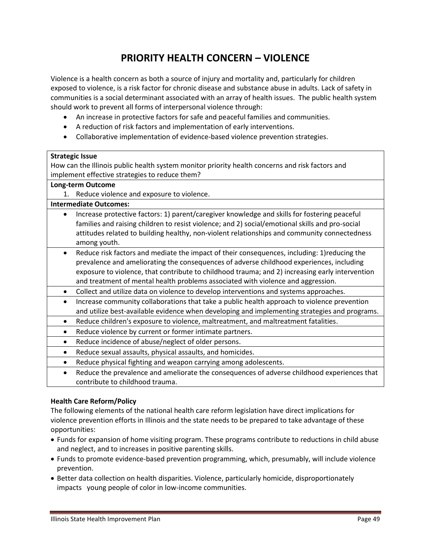# **PRIORITY HEALTH CONCERN – VIOLENCE**

Violence is a health concern as both a source of injury and mortality and, particularly for children exposed to violence, is a risk factor for chronic disease and substance abuse in adults. Lack of safety in communities is a social determinant associated with an array of health issues. The public health system should work to prevent all forms of interpersonal violence through:

- An increase in protective factors for safe and peaceful families and communities.
- A reduction of risk factors and implementation of early interventions.
- Collaborative implementation of evidence-based violence prevention strategies.

### **Strategic Issue**

How can the Illinois public health system monitor priority health concerns and risk factors and implement effective strategies to reduce them?

### **Long-term Outcome**

1. Reduce violence and exposure to violence.

### **Intermediate Outcomes:**

- Increase protective factors: 1) parent/caregiver knowledge and skills for fostering peaceful families and raising children to resist violence; and 2) social/emotional skills and pro-social attitudes related to building healthy, non-violent relationships and community connectedness among youth.
- Reduce risk factors and mediate the impact of their consequences, including: 1)reducing the prevalence and ameliorating the consequences of adverse childhood experiences, including exposure to violence, that contribute to childhood trauma; and 2) increasing early intervention and treatment of mental health problems associated with violence and aggression.
- Collect and utilize data on violence to develop interventions and systems approaches.
- Increase community collaborations that take a public health approach to violence prevention and utilize best-available evidence when developing and implementing strategies and programs.
- Reduce children's exposure to violence, maltreatment, and maltreatment fatalities.
- Reduce violence by current or former intimate partners.
- Reduce incidence of abuse/neglect of older persons.
- Reduce sexual assaults, physical assaults, and homicides.
- Reduce physical fighting and weapon carrying among adolescents.
- Reduce the prevalence and ameliorate the consequences of adverse childhood experiences that contribute to childhood trauma.

### **Health Care Reform/Policy**

The following elements of the national health care reform legislation have direct implications for violence prevention efforts in Illinois and the state needs to be prepared to take advantage of these opportunities:

- Funds for expansion of home visiting program. These programs contribute to reductions in child abuse and neglect, and to increases in positive parenting skills.
- Funds to promote evidence-based prevention programming, which, presumably, will include violence prevention.
- Better data collection on health disparities. Violence, particularly homicide, disproportionately impacts young people of color in low-income communities.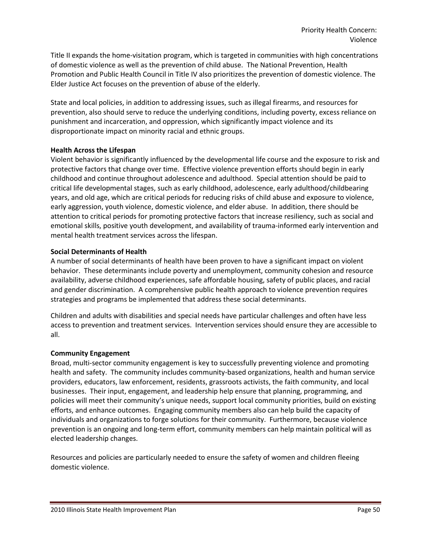Title II expands the home-visitation program, which is targeted in communities with high concentrations of domestic violence as well as the prevention of child abuse. The National Prevention, Health Promotion and Public Health Council in Title IV also prioritizes the prevention of domestic violence. The Elder Justice Act focuses on the prevention of abuse of the elderly.

State and local policies, in addition to addressing issues, such as illegal firearms, and resources for prevention, also should serve to reduce the underlying conditions, including poverty, excess reliance on punishment and incarceration, and oppression, which significantly impact violence and its disproportionate impact on minority racial and ethnic groups.

### **Health Across the Lifespan**

Violent behavior is significantly influenced by the developmental life course and the exposure to risk and protective factors that change over time. Effective violence prevention efforts should begin in early childhood and continue throughout adolescence and adulthood. Special attention should be paid to critical life developmental stages, such as early childhood, adolescence, early adulthood/childbearing years, and old age, which are critical periods for reducing risks of child abuse and exposure to violence, early aggression, youth violence, domestic violence, and elder abuse. In addition, there should be attention to critical periods for promoting protective factors that increase resiliency, such as social and emotional skills, positive youth development, and availability of trauma-informed early intervention and mental health treatment services across the lifespan.

### **Social Determinants of Health**

A number of social determinants of health have been proven to have a significant impact on violent behavior. These determinants include poverty and unemployment, community cohesion and resource availability, adverse childhood experiences, safe affordable housing, safety of public places, and racial and gender discrimination. A comprehensive public health approach to violence prevention requires strategies and programs be implemented that address these social determinants.

Children and adults with disabilities and special needs have particular challenges and often have less access to prevention and treatment services. Intervention services should ensure they are accessible to all.

### **Community Engagement**

Broad, multi-sector community engagement is key to successfully preventing violence and promoting health and safety. The community includes community-based organizations, health and human service providers, educators, law enforcement, residents, grassroots activists, the faith community, and local businesses. Their input, engagement, and leadership help ensure that planning, programming, and policies will meet their community's unique needs, support local community priorities, build on existing efforts, and enhance outcomes. Engaging community members also can help build the capacity of individuals and organizations to forge solutions for their community. Furthermore, because violence prevention is an ongoing and long-term effort, community members can help maintain political will as elected leadership changes.

Resources and policies are particularly needed to ensure the safety of women and children fleeing domestic violence.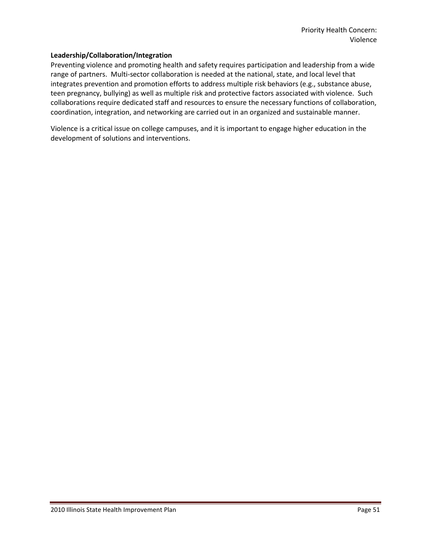### **Leadership/Collaboration/Integration**

Preventing violence and promoting health and safety requires participation and leadership from a wide range of partners. Multi-sector collaboration is needed at the national, state, and local level that integrates prevention and promotion efforts to address multiple risk behaviors (e.g., substance abuse, teen pregnancy, bullying) as well as multiple risk and protective factors associated with violence. Such collaborations require dedicated staff and resources to ensure the necessary functions of collaboration, coordination, integration, and networking are carried out in an organized and sustainable manner.

Violence is a critical issue on college campuses, and it is important to engage higher education in the development of solutions and interventions.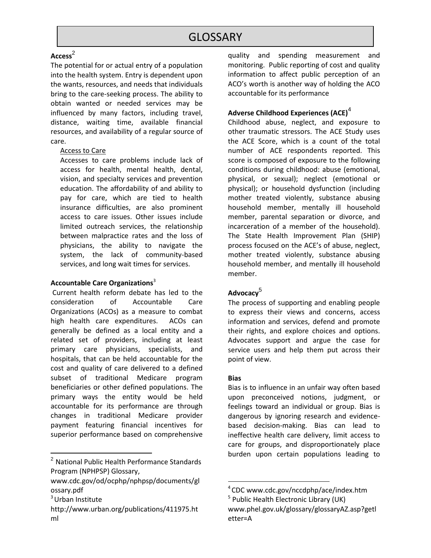### Access<sup>2</sup>

The potential for or actual entry of a population into the health system. Entry is dependent upon the wants, resources, and needs that individuals bring to the care-seeking process. The ability to obtain wanted or needed services may be influenced by many factors, including travel, distance, waiting time, available financial resources, and availability of a regular source of care.

### Access to Care

Accesses to care problems include lack of access for health, mental health, dental, vision, and specialty services and prevention education. The affordability of and ability to pay for care, which are tied to health insurance difficulties, are also prominent access to care issues. Other issues include limited outreach services, the relationship between malpractice rates and the loss of physicians, the ability to navigate the system, the lack of community-based services, and long wait times for services.

### **Accountable Care Organizations**<sup>3</sup>

Current health reform debate has led to the consideration of Accountable Care Organizations (ACOs) as a measure to combat high health care expenditures. ACOs can generally be defined as a local entity and a related set of providers, including at least primary care physicians, specialists, and hospitals, that can be held accountable for the cost and quality of care delivered to a defined subset of traditional Medicare program beneficiaries or other defined populations. The primary ways the entity would be held accountable for its performance are through changes in traditional Medicare provider payment featuring financial incentives for superior performance based on comprehensive

 $\overline{\phantom{a}}$ 

quality and spending measurement and monitoring. Public reporting of cost and quality information to affect public perception of an ACO's worth is another way of holding the ACO accountable for its performance

### **Adverse Childhood Experiences (ACE)**<sup>4</sup>

Childhood abuse, neglect, and exposure to other traumatic stressors. The ACE Study uses the ACE Score, which is a count of the total number of ACE respondents reported. This score is composed of exposure to the following conditions during childhood: abuse (emotional, physical, or sexual); neglect (emotional or physical); or household dysfunction (including mother treated violently, substance abusing household member, mentally ill household member, parental separation or divorce, and incarceration of a member of the household). The State Health Improvement Plan (SHIP) process focused on the ACE's of abuse, neglect, mother treated violently, substance abusing household member, and mentally ill household member.

### **Advocacy**<sup>5</sup>

The process of supporting and enabling people to express their views and concerns, access information and services, defend and promote their rights, and explore choices and options. Advocates support and argue the case for service users and help them put across their point of view.

### **Bias**

l

Bias is to influence in an unfair way often based upon preconceived notions, judgment, or feelings toward an individual or group. Bias is dangerous by ignoring research and evidencebased decision-making. Bias can lead to ineffective health care delivery, limit access to care for groups, and disproportionately place burden upon certain populations leading to

<sup>2</sup> National Public Health Performance Standards Program (NPHPSP) Glossary,

www.cdc.gov/od/ocphp/nphpsp/documents/gl ossary.pdf

 $3$  Urban Institute

http://www.urban.org/publications/411975.ht ml

<sup>4</sup> CDC www.cdc.gov/nccdphp/ace/index.htm <sup>5</sup> Public Health Electronic Library (UK)

www.phel.gov.uk/glossary/glossaryAZ.asp?getl etter=A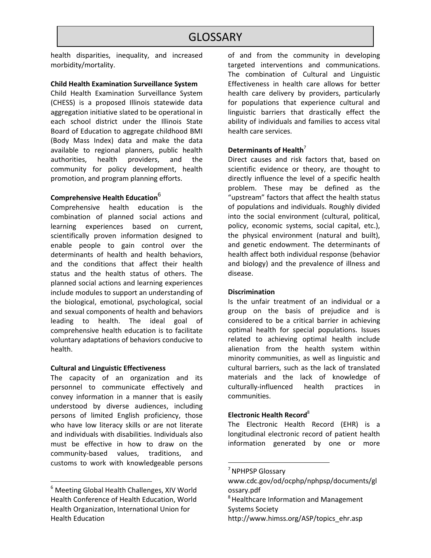health disparities, inequality, and increased morbidity/mortality.

### **Child Health Examination Surveillance System**

Child Health Examination Surveillance System (CHESS) is a proposed Illinois statewide data aggregation initiative slated to be operational in each school district under the Illinois State Board of Education to aggregate childhood BMI (Body Mass Index) data and make the data available to regional planners, public health authorities, health providers, and the community for policy development, health promotion, and program planning efforts.

## **Comprehensive Health Education** 6

Comprehensive health education is the combination of planned social actions and learning experiences based on current, scientifically proven information designed to enable people to gain control over the determinants of health and health behaviors, and the conditions that affect their health status and the health status of others. The planned social actions and learning experiences include modules to support an understanding of the biological, emotional, psychological, social and sexual components of health and behaviors leading to health. The ideal goal of comprehensive health education is to facilitate voluntary adaptations of behaviors conducive to health.

### **Cultural and Linguistic Effectiveness**

The capacity of an organization and its personnel to communicate effectively and convey information in a manner that is easily understood by diverse audiences, including persons of limited English proficiency, those who have low literacy skills or are not literate and individuals with disabilities. Individuals also must be effective in how to draw on the community-based values, traditions, and customs to work with knowledgeable persons

l

of and from the community in developing targeted interventions and communications. The combination of Cultural and Linguistic Effectiveness in health care allows for better health care delivery by providers, particularly for populations that experience cultural and linguistic barriers that drastically effect the ability of individuals and families to access vital health care services.

### **Determinants of Health**<sup>7</sup>

Direct causes and risk factors that, based on scientific evidence or theory, are thought to directly influence the level of a specific health problem. These may be defined as the "upstream" factors that affect the health status of populations and individuals. Roughly divided into the social environment (cultural, political, policy, economic systems, social capital, etc.), the physical environment (natural and built), and genetic endowment. The determinants of health affect both individual response (behavior and biology) and the prevalence of illness and disease.

### **Discrimination**

Is the unfair treatment of an individual or a group on the basis of prejudice and is considered to be a critical barrier in achieving optimal health for special populations. Issues related to achieving optimal health include alienation from the health system within minority communities, as well as linguistic and cultural barriers, such as the lack of translated materials and the lack of knowledge of culturally-influenced health practices in communities.

### **Electronic Health Record**<sup>8</sup>

The Electronic Health Record (EHR) is a longitudinal electronic record of patient health information generated by one or more

 $\overline{\phantom{a}}$ 

 $6$  Meeting Global Health Challenges, XIV World Health Conference of Health Education, World Health Organization, International Union for Health Education

<sup>&</sup>lt;sup>7</sup> NPHPSP Glossary

www.cdc.gov/od/ocphp/nphpsp/documents/gl ossary.pdf

<sup>&</sup>lt;sup>8</sup> Healthcare Information and Management Systems Society

http://www.himss.org/ASP/topics\_ehr.asp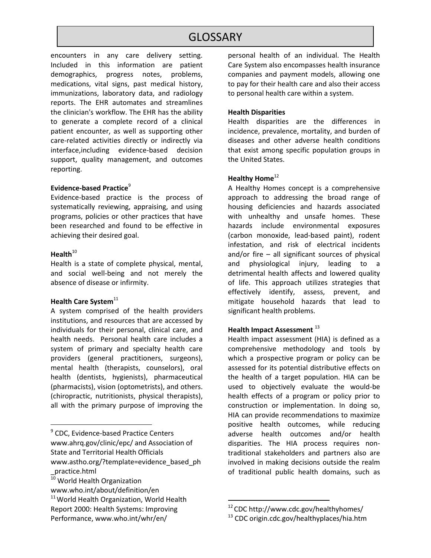encounters in any care delivery setting. Included in this information are patient demographics, progress notes, problems, medications, vital signs, past medical history, immunizations, laboratory data, and radiology reports. The EHR automates and streamlines the clinician's workflow. The EHR has the ability to generate a complete record of a clinical patient encounter, as well as supporting other care-related activities directly or indirectly via interface,including evidence-based decision support, quality management, and outcomes reporting.

#### **Evidence-based Practice**<sup>9</sup>

Evidence-based practice is the process of systematically reviewing, appraising, and using programs, policies or other practices that have been researched and found to be effective in achieving their desired goal.

### Health<sup>10</sup>

l

Health is a state of complete physical, mental, and social well-being and not merely the absence of disease or infirmity.

### **Health Care System**<sup>11</sup>

A system comprised of the health providers institutions, and resources that are accessed by individuals for their personal, clinical care, and health needs. Personal health care includes a system of primary and specialty health care providers (general practitioners, surgeons), mental health (therapists, counselors), oral health (dentists, hygienists), pharmaceutical (pharmacists), vision (optometrists), and others. (chiropractic, nutritionists, physical therapists), all with the primary purpose of improving the

personal health of an individual. The Health Care System also encompasses health insurance companies and payment models, allowing one to pay for their health care and also their access to personal health care within a system.

### **Health Disparities**

Health disparities are the differences in incidence, prevalence, mortality, and burden of diseases and other adverse health conditions that exist among specific population groups in the United States.

### **Healthy Home**<sup>12</sup>

A Healthy Homes concept is a comprehensive approach to addressing the broad range of housing deficiencies and hazards associated with unhealthy and unsafe homes. These hazards include environmental exposures (carbon monoxide, lead-based paint), rodent infestation, and risk of electrical incidents and/or fire – all significant sources of physical and physiological injury, leading to a detrimental health affects and lowered quality of life. This approach utilizes strategies that effectively identify, assess, prevent, and mitigate household hazards that lead to significant health problems.

### **Health Impact Assessment** <sup>13</sup>

Health impact assessment (HIA) is defined as a comprehensive methodology and tools by which a prospective program or policy can be assessed for its potential distributive effects on the health of a target population. HIA can be used to objectively evaluate the would-be health effects of a program or policy prior to construction or implementation. In doing so, HIA can provide recommendations to maximize positive health outcomes, while reducing adverse health outcomes and/or health disparities. The HIA process requires nontraditional stakeholders and partners also are involved in making decisions outside the realm of traditional public health domains, such as

 $\overline{\phantom{a}}$ 

<sup>&</sup>lt;sup>9</sup> CDC, Evidence-based Practice Centers www.ahrq.gov/clinic/epc/ and Association of State and Territorial Health Officials www.astho.org/?template=evidence\_based\_ph \_practice.html

 $\overline{10}$  World Health Organization

www.who.int/about/definition/en

<sup>&</sup>lt;sup>11</sup> World Health Organization, World Health Report 2000: Health Systems: Improving Performance, www.who.int/whr/en/

<sup>12</sup> CDC http://www.cdc.gov/healthyhomes/

<sup>&</sup>lt;sup>13</sup> CDC origin.cdc.gov/healthyplaces/hia.htm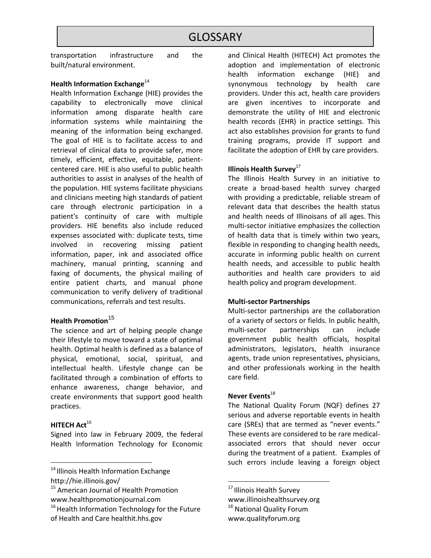transportation infrastructure and the built/natural environment.

### **Health Information Exchange**<sup>14</sup>

Health Information Exchange (HIE) provides the capability to electronically move clinical information among disparate [health care](http://en.wikipedia.org/wiki/Health_care) information systems while maintaining the meaning of the information being exchanged. The goal of HIE is to facilitate access to and retrieval of clinical data to provide safer, more timely, efficient, effective, equitable, patientcentered care. HIE is also useful to [public health](http://en.wikipedia.org/wiki/Public_Health) authorities to assist in [analyses of the health of](http://en.wikipedia.org/wiki/Clinical_surveillance)  [the population.](http://en.wikipedia.org/wiki/Clinical_surveillance) HIE systems facilitate physicians and clinicians meeting high standards of patient care through electronic participation in a patient's [continuity of care](http://en.wikipedia.org/wiki/Continuity_of_care_document) with multiple providers. HIE benefits also include reduced expenses associated with: duplicate tests, time involved in recovering missing patient information, paper, ink and associated office machinery, manual printing, scanning and faxing of documents, the physical mailing of entire patient charts, and manual phone communication to verify delivery of traditional communications, referrals and test results.

# **Health Promotion**<sup>15</sup>

The science and art of helping people change their lifestyle to move toward a state of optimal health. Optimal health is defined as a balance of physical, emotional, social, spiritual, and intellectual health. Lifestyle change can be facilitated through a combination of efforts to enhance awareness, change behavior, and create environments that support good health practices.

### **HITECH Act<sup>16</sup>**

 $\overline{\phantom{a}}$ 

Signed into law in February 2009, the federal Health Information Technology for Economic

<sup>14</sup> Illinois Health Information Exchange http://hie.illinois.gov/

and Clinical Health (HITECH) Act promotes the adoption and implementation of electronic health information exchange (HIE) and synonymous technology by health care providers. Under this act, health care providers are given incentives to incorporate and demonstrate the utility of HIE and electronic health records (EHR) in practice settings. This act also establishes provision for grants to fund training programs, provide IT support and facilitate the adoption of EHR by care providers.

### **Illinois Health Survey**<sup>17</sup>

The Illinois Health Survey in an initiative to create a broad-based health survey charged with providing a predictable, reliable stream of relevant data that describes the health status and health needs of Illinoisans of all ages. This multi-sector initiative emphasizes the collection of health data that is timely within two years, flexible in responding to changing health needs, accurate in informing public health on current health needs, and accessible to public health authorities and health care providers to aid health policy and program development.

#### **Multi-sector Partnerships**

Multi-sector partnerships are the collaboration of a variety of sectors or fields. In public health, multi-sector partnerships can include government public health officials, hospital administrators, legislators, health insurance agents, trade union representatives, physicians, and other professionals working in the health care field.

### **Never Events**<sup>18</sup>

The National Quality Forum (NQF) defines 27 serious and adverse reportable events in health care (SREs) that are termed as "never events." These events are considered to be rare medicalassociated errors that should never occur during the treatment of a patient. Examples of such errors include leaving a foreign object

<sup>17</sup> Illinois Health Survey

l

www.illinoishealthsurvey.org <sup>18</sup> National Quality Forum

www.qualityforum.org

<sup>&</sup>lt;sup>15</sup> American Journal of Health Promotion www.healthpromotionjournal.com

<sup>&</sup>lt;sup>16</sup> Health Information Technology for the Future of Health and Care healthit.hhs.gov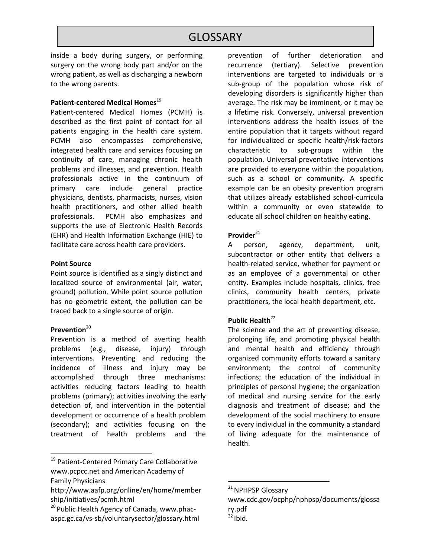inside a body during surgery, or performing surgery on the wrong body part and/or on the wrong patient, as well as discharging a newborn to the wrong parents.

### **Patient-centered Medical Homes**<sup>19</sup>

Patient-centered Medical Homes (PCMH) is described as the first point of contact for all patients engaging in the health care system. PCMH also encompasses comprehensive, integrated health care and services focusing on continuity of care, managing chronic health problems and illnesses, and prevention. Health professionals active in the continuum of primary care include general practice physicians, dentists, pharmacists, nurses, vision health practitioners, and other allied health professionals. PCMH also emphasizes and supports the use of Electronic Health Records (EHR) and Health Information Exchange (HIE) to facilitate care across health care providers.

#### **Point Source**

Point source is identified as a singly distinct and localized source of environmental (air, water, ground) pollution. While point source pollution has no geometric extent, the pollution can be traced back to a single source of origin.

### Prevention<sup>20</sup>

 $\overline{\phantom{a}}$ 

Prevention is a method of averting health problems (e.g., disease, injury) through interventions. Preventing and reducing the incidence of illness and injury may be accomplished through three mechanisms: activities reducing factors leading to health problems (primary); activities involving the early detection of, and intervention in the potential development or occurrence of a health problem (secondary); and activities focusing on the treatment of health problems and the

prevention of further deterioration and recurrence (tertiary). Selective prevention interventions are targeted to individuals or a sub-group of the population whose risk of developing disorders is significantly higher than average. The risk may be imminent, or it may be a lifetime risk. Conversely, universal prevention interventions address the health issues of the entire population that it targets without regard for individualized or specific health/risk-factors characteristic to sub-groups within the population. Universal preventative interventions are provided to everyone within the population, such as a school or community. A specific example can be an obesity prevention program that utilizes already established school-curricula within a community or even statewide to educate all school children on healthy eating.

### Provider<sup>21</sup>

A person, agency, department, unit, subcontractor or other entity that delivers a health-related service, whether for payment or as an employee of a governmental or other entity. Examples include hospitals, clinics, free clinics, community health centers, private practitioners, the local health department, etc.

### **Public Health**<sup>22</sup>

The science and the art of preventing disease, prolonging life, and promoting physical health and mental health and efficiency through organized community efforts toward a sanitary environment; the control of community infections; the education of the individual in principles of personal hygiene; the organization of medical and nursing service for the early diagnosis and treatment of disease; and the development of the social machinery to ensure to every individual in the community a standard of living adequate for the maintenance of health.

l

<sup>&</sup>lt;sup>19</sup> Patient-Centered Primary Care Collaborative www.pcpcc.net and American Academy of Family Physicians

http://www.aafp.org/online/en/home/member ship/initiatives/pcmh.html

<sup>&</sup>lt;sup>20</sup> Public Health Agency of Canada, www.phacaspc.gc.ca/vs-sb/voluntarysector/glossary.html

<sup>&</sup>lt;sup>21</sup> NPHPSP Glossary

www.cdc.gov/ocphp/nphpsp/documents/glossa ry.pdf

 $22$  Ibid.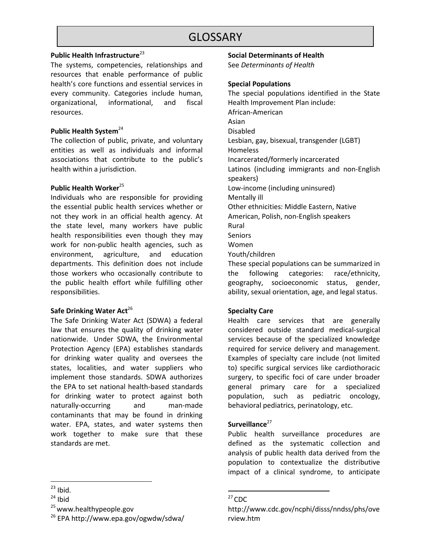### **Public Health Infrastructure**<sup>23</sup>

The systems, competencies, relationships and resources that enable performance of public health's core functions and essential services in every community. Categories include human, organizational, informational, and fiscal resources.

### **Public Health System**<sup>24</sup>

The collection of public, private, and voluntary entities as well as individuals and informal associations that contribute to the public's health within a jurisdiction.

### **Public Health Worker**<sup>25</sup>

Individuals who are responsible for providing the essential public health services whether or not they work in an official health agency. At the state level, many workers have public health responsibilities even though they may work for non-public health agencies, such as environment, agriculture, and education departments. This definition does not include those workers who occasionally contribute to the public health effort while fulfilling other responsibilities.

### **Safe Drinking Water Act<sup>26</sup>**

The Safe Drinking Water Act (SDWA) a federal law that ensures the quality of drinking water nationwide. Under SDWA, the Environmental Protection Agency (EPA) establishes standards for drinking water quality and oversees the states, localities, and water suppliers who implement those standards. SDWA authorizes the EPA to set national health-based standards for drinking water to protect against both naturally-occurring and man-made contaminants that may be found in drinking water. EPA, states, and water systems then work together to make sure that these standards are met.

### **Social Determinants of Health**

See *Determinants of Health*

### **Special Populations**

The special populations identified in the State Health Improvement Plan include: African-American Asian Disabled Lesbian, gay, bisexual, transgender (LGBT) **Homeless** Incarcerated/formerly incarcerated Latinos (including immigrants and non-English speakers) Low-income (including uninsured) Mentally ill Other ethnicities: Middle Eastern, Native American, Polish, non-English speakers Rural **Seniors** Women Youth/children These special populations can be summarized in the following categories: race/ethnicity, geography, socioeconomic status, gender,

### **Specialty Care**

Health care services that are generally considered outside standard medical-surgical services because of the specialized knowledge required for service delivery and management. Examples of specialty care include (not limited to) specific surgical services like cardiothoracic surgery, to specific foci of care under broader general primary care for a specialized population, such as pediatric oncology, behavioral pediatrics, perinatology, etc.

ability, sexual orientation, age, and legal status.

### Surveillance<sup>27</sup>

Public health surveillance procedures are defined as the systematic collection and analysis of public health data derived from the population to contextualize the distributive impact of a clinical syndrome, to anticipate

l  $23$  Ibid.

 $24$  Ibid

<sup>&</sup>lt;sup>25</sup> www.healthypeople.gov

<sup>26</sup> EPA http://www.epa.gov/ogwdw/sdwa/

 $\overline{a}$  $27$  CDC

http://www.cdc.gov/ncphi/disss/nndss/phs/ove rview.htm